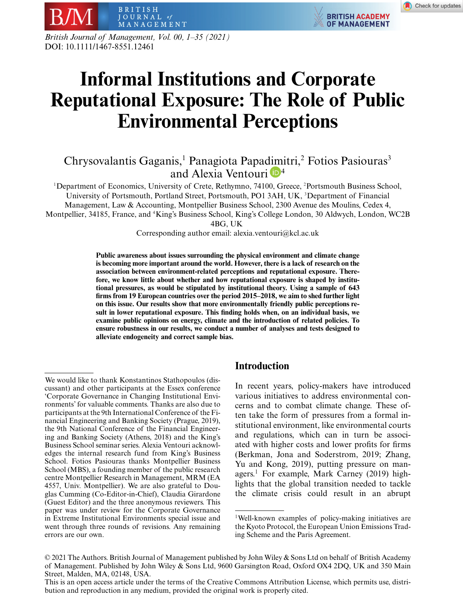**BRITISH ACADEMY** 

**OF MANAGEMENT** 

MANAGEMENT *British Journal of Management, Vol. 00, 1–35 (2021)* DOI: 10.1111/1467-8551.12461

BRITISH JOURNAL of

# **Informal Institutions and Corporate Reputational Exposure: The Role of Public Environmental Perceptions**

# Chrysovalantis Gaganis,<sup>1</sup> Panagiota Papa[dim](https://orcid.org/0000-0002-8334-4399)itri,<sup>2</sup> Fotios Pasiouras<sup>3</sup> and Alexia Ventouri  $\mathbb{D}^4$

<sup>1</sup>Department of Economics, University of Crete, Rethymno, 74100, Greece, <sup>2</sup>Portsmouth Business School, University of Portsmouth, Portland Street, Portsmouth, PO1 3AH, UK, <sup>3</sup>Department of Financial Management, Law & Accounting, Montpellier Business School, 2300 Avenue des Moulins, Cedex 4, Montpellier, 34185, France, and <sup>4</sup> King's Business School, King's College London, 30 Aldwych, London, WC2B

4BG, UK

Corresponding author email: alexia.ventouri@kcl.ac.uk

**Public awareness about issues surrounding the physical environment and climate change is becoming more important around the world. However, there is a lack of research on the association between environment-related perceptions and reputational exposure. Therefore, we know little about whether and how reputational exposure is shaped by institutional pressures, as would be stipulated by institutional theory. Using a sample of 643 firms from 19 European countries over the period 2015–2018, we aim to shed further light on this issue. Our results show that more environmentally friendly public perceptions result in lower reputational exposure. This finding holds when, on an individual basis, we examine public opinions on energy, climate and the introduction of related policies. To ensure robustness in our results, we conduct a number of analyses and tests designed to alleviate endogeneity and correct sample bias.**

## **Introduction**

In recent years, policy-makers have introduced various initiatives to address environmental concerns and to combat climate change. These often take the form of pressures from a formal institutional environment, like environmental courts and regulations, which can in turn be associated with higher costs and lower profits for firms (Berkman, Jona and Soderstrom, 2019; Zhang, Yu and Kong, 2019), putting pressure on managers.1 For example, Mark Carney (2019) highlights that the global transition needed to tackle the climate crisis could result in an abrupt

We would like to thank Konstantinos Stathopoulos (discussant) and other participants at the Essex conference 'Corporate Governance in Changing Institutional Environments' for valuable comments. Thanks are also due to participants at the 9th International Conference of the Financial Engineering and Banking Society (Prague, 2019), the 9th National Conference of the Financial Engineering and Banking Society (Athens, 2018) and the King's Business School seminar series. Alexia Ventouri acknowledges the internal research fund from King's Business School. Fotios Pasiouras thanks Montpellier Business School (MBS), a founding member of the public research centre Montpellier Research in Management, MRM (EA 4557, Univ. Montpellier). We are also grateful to Douglas Cumming (Co-Editor-in-Chief), Claudia Girardone (Guest Editor) and the three anonymous reviewers. This paper was under review for the Corporate Governance in Extreme Institutional Environments special issue and went through three rounds of revisions. Any remaining errors are our own.

<sup>1</sup>Well-known examples of policy-making initiatives are the Kyoto Protocol, the European Union Emissions Trading Scheme and the Paris Agreement.

<sup>© 2021</sup> The Authors. British Journal of Management published by John Wiley & Sons Ltd on behalf of British Academy of Management. Published by John Wiley & Sons Ltd, 9600 Garsington Road, Oxford OX4 2DQ, UK and 350 Main Street, Malden, MA, 02148, USA.

This is an open access article under the terms of the [Creative Commons Attribution](http://creativecommons.org/licenses/by/4.0/) License, which permits use, distribution and reproduction in any medium, provided the original work is properly cited.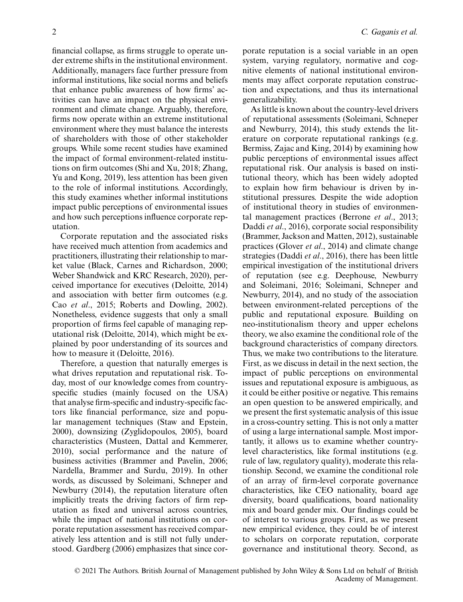financial collapse, as firms struggle to operate under extreme shifts in the institutional environment. Additionally, managers face further pressure from informal institutions, like social norms and beliefs that enhance public awareness of how firms' activities can have an impact on the physical environment and climate change. Arguably, therefore, firms now operate within an extreme institutional environment where they must balance the interests of shareholders with those of other stakeholder groups. While some recent studies have examined the impact of formal environment-related institutions on firm outcomes (Shi and Xu, 2018; Zhang, Yu and Kong, 2019), less attention has been given to the role of informal institutions. Accordingly, this study examines whether informal institutions impact public perceptions of environmental issues and how such perceptions influence corporate reputation.

Corporate reputation and the associated risks have received much attention from academics and practitioners, illustrating their relationship to market value (Black, Carnes and Richardson, 2000; Weber Shandwick and KRC Research, 2020), perceived importance for executives (Deloitte, 2014) and association with better firm outcomes (e.g. Cao *et al*., 2015; Roberts and Dowling, 2002). Nonetheless, evidence suggests that only a small proportion of firms feel capable of managing reputational risk (Deloitte, 2014), which might be explained by poor understanding of its sources and how to measure it (Deloitte, 2016).

Therefore, a question that naturally emerges is what drives reputation and reputational risk. Today, most of our knowledge comes from countryspecific studies (mainly focused on the USA) that analyse firm-specific and industry-specific factors like financial performance, size and popular management techniques (Staw and Epstein, 2000), downsizing (Zyglidopoulos, 2005), board characteristics (Musteen, Dattal and Kemmerer, 2010), social performance and the nature of business activities (Brammer and Pavelin, 2006; Nardella, Brammer and Surdu, 2019). In other words, as discussed by Soleimani, Schneper and Newburry (2014), the reputation literature often implicitly treats the driving factors of firm reputation as fixed and universal across countries, while the impact of national institutions on corporate reputation assessment has received comparatively less attention and is still not fully understood. Gardberg (2006) emphasizes that since corporate reputation is a social variable in an open system, varying regulatory, normative and cognitive elements of national institutional environments may affect corporate reputation construction and expectations, and thus its international generalizability.

As little is known about the country-level drivers of reputational assessments (Soleimani, Schneper and Newburry, 2014), this study extends the literature on corporate reputational rankings (e.g. Bermiss, Zajac and King, 2014) by examining how public perceptions of environmental issues affect reputational risk. Our analysis is based on institutional theory, which has been widely adopted to explain how firm behaviour is driven by institutional pressures. Despite the wide adoption of institutional theory in studies of environmental management practices (Berrone *et al*., 2013; Daddi *et al*., 2016), corporate social responsibility (Brammer, Jackson and Matten, 2012), sustainable practices (Glover *et al*., 2014) and climate change strategies (Daddi *et al*., 2016), there has been little empirical investigation of the institutional drivers of reputation (see e.g. Deephouse, Newburry and Soleimani, 2016; Soleimani, Schneper and Newburry, 2014), and no study of the association between environment-related perceptions of the public and reputational exposure. Building on neo-institutionalism theory and upper echelons theory, we also examine the conditional role of the background characteristics of company directors. Thus, we make two contributions to the literature. First, as we discuss in detail in the next section, the impact of public perceptions on environmental issues and reputational exposure is ambiguous, as it could be either positive or negative. This remains an open question to be answered empirically, and we present the first systematic analysis of this issue in a cross-country setting. This is not only a matter of using a large international sample. Most importantly, it allows us to examine whether countrylevel characteristics, like formal institutions (e.g. rule of law, regulatory quality), moderate this relationship. Second, we examine the conditional role of an array of firm-level corporate governance characteristics, like CEO nationality, board age diversity, board qualifications, board nationality mix and board gender mix. Our findings could be of interest to various groups. First, as we present new empirical evidence, they could be of interest to scholars on corporate reputation, corporate governance and institutional theory. Second, as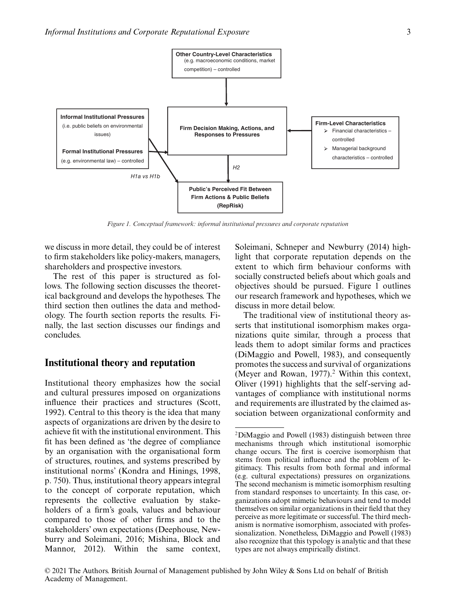

*Figure 1. Conceptual framework: informal institutional pressures and corporate reputation*

we discuss in more detail, they could be of interest to firm stakeholders like policy-makers, managers, shareholders and prospective investors.

The rest of this paper is structured as follows. The following section discusses the theoretical background and develops the hypotheses. The third section then outlines the data and methodology. The fourth section reports the results. Finally, the last section discusses our findings and concludes.

## **Institutional theory and reputation**

Institutional theory emphasizes how the social and cultural pressures imposed on organizations influence their practices and structures (Scott, 1992). Central to this theory is the idea that many aspects of organizations are driven by the desire to achieve fit with the institutional environment. This fit has been defined as 'the degree of compliance by an organisation with the organisational form of structures, routines, and systems prescribed by institutional norms' (Kondra and Hinings, 1998, p. 750). Thus, institutional theory appears integral to the concept of corporate reputation, which represents the collective evaluation by stakeholders of a firm's goals, values and behaviour compared to those of other firms and to the stakeholders' own expectations (Deephouse, Newburry and Soleimani, 2016; Mishina, Block and Mannor, 2012). Within the same context, Soleimani, Schneper and Newburry (2014) highlight that corporate reputation depends on the extent to which firm behaviour conforms with socially constructed beliefs about which goals and objectives should be pursued. Figure 1 outlines our research framework and hypotheses, which we discuss in more detail below.

The traditional view of institutional theory asserts that institutional isomorphism makes organizations quite similar, through a process that leads them to adopt similar forms and practices (DiMaggio and Powell, 1983), and consequently promotes the success and survival of organizations (Meyer and Rowan,  $1977$ ).<sup>2</sup> Within this context, Oliver (1991) highlights that the self -serving advantages of compliance with institutional norms and requirements are illustrated by the claimed association between organizational conformity and

<sup>2</sup>DiMaggio and Powell (1983) distinguish between three mechanisms through which institutional isomorphic change occurs. The first is coercive isomorphism that stems from political influence and the problem of legitimacy. This results from both formal and informal (e.g. cultural expectations) pressures on organizations. The second mechanism is mimetic isomorphism resulting from standard responses to uncertainty. In this case, organizations adopt mimetic behaviours and tend to model themselves on similar organizations in their field that they perceive as more legitimate or successful. The third mechanism is normative isomorphism, associated with professionalization. Nonetheless, DiMaggio and Powell (1983) also recognize that this typology is analytic and that these types are not always empirically distinct.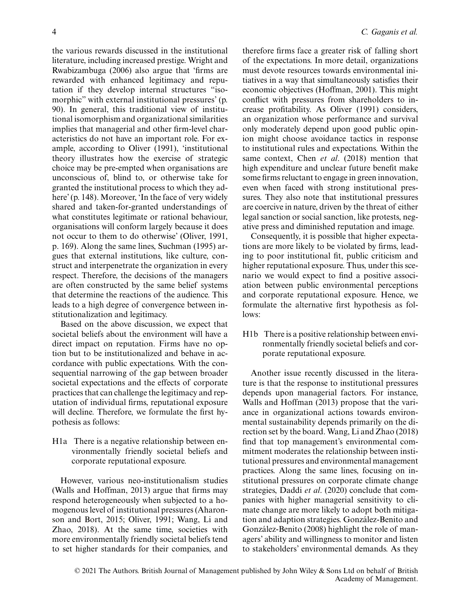the various rewards discussed in the institutional literature, including increased prestige. Wright and Rwabizambuga (2006) also argue that 'firms are rewarded with enhanced legitimacy and reputation if they develop internal structures "isomorphic" with external institutional pressures' (p. 90). In general, this traditional view of institutional isomorphism and organizational similarities implies that managerial and other firm-level characteristics do not have an important role. For example, according to Oliver (1991), 'institutional theory illustrates how the exercise of strategic choice may be pre-empted when organisations are unconscious of, blind to, or otherwise take for granted the institutional process to which they adhere' (p. 148). Moreover, 'In the face of very widely shared and taken-for-granted understandings of what constitutes legitimate or rational behaviour, organisations will conform largely because it does not occur to them to do otherwise' (Oliver, 1991, p. 169). Along the same lines, Suchman (1995) argues that external institutions, like culture, construct and interpenetrate the organization in every respect. Therefore, the decisions of the managers are often constructed by the same belief systems that determine the reactions of the audience. This leads to a high degree of convergence between institutionalization and legitimacy.

Based on the above discussion, we expect that societal beliefs about the environment will have a direct impact on reputation. Firms have no option but to be institutionalized and behave in accordance with public expectations. With the consequential narrowing of the gap between broader societal expectations and the effects of corporate practices that can challenge the legitimacy and reputation of individual firms, reputational exposure will decline. Therefore, we formulate the first hypothesis as follows:

H1a There is a negative relationship between environmentally friendly societal beliefs and corporate reputational exposure.

However, various neo-institutionalism studies (Walls and Hoffman, 2013) argue that firms may respond heterogeneously when subjected to a homogenous level of institutional pressures (Aharonson and Bort, 2015; Oliver, 1991; Wang, Li and Zhao, 2018). At the same time, societies with more environmentally friendly societal beliefs tend to set higher standards for their companies, and

therefore firms face a greater risk of falling short of the expectations. In more detail, organizations must devote resources towards environmental initiatives in a way that simultaneously satisfies their economic objectives (Hoffman, 2001). This might conflict with pressures from shareholders to increase profitability. As Oliver (1991) considers, an organization whose performance and survival only moderately depend upon good public opinion might choose avoidance tactics in response to institutional rules and expectations. Within the same context, Chen *et al*. (2018) mention that high expenditure and unclear future benefit make some firms reluctant to engage in green innovation, even when faced with strong institutional pressures. They also note that institutional pressures are coercive in nature, driven by the threat of either legal sanction or social sanction, like protests, negative press and diminished reputation and image.

Consequently, it is possible that higher expectations are more likely to be violated by firms, leading to poor institutional fit, public criticism and higher reputational exposure. Thus, under this scenario we would expect to find a positive association between public environmental perceptions and corporate reputational exposure. Hence, we formulate the alternative first hypothesis as follows:

H1b There is a positive relationship between environmentally friendly societal beliefs and corporate reputational exposure.

Another issue recently discussed in the literature is that the response to institutional pressures depends upon managerial factors. For instance, Walls and Hoffman (2013) propose that the variance in organizational actions towards environmental sustainability depends primarily on the direction set by the board. Wang, Li and Zhao (2018) find that top management's environmental commitment moderates the relationship between institutional pressures and environmental management practices. Along the same lines, focusing on institutional pressures on corporate climate change strategies, Daddi *et al*. (2020) conclude that companies with higher managerial sensitivity to climate change are more likely to adopt both mitigation and adaption strategies. González-Benito and González-Benito (2008) highlight the role of managers' ability and willingness to monitor and listen to stakeholders' environmental demands. As they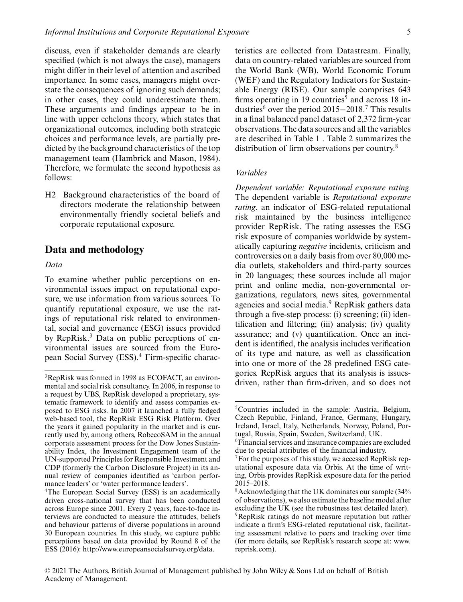discuss, even if stakeholder demands are clearly specified (which is not always the case), managers might differ in their level of attention and ascribed importance. In some cases, managers might overstate the consequences of ignoring such demands; in other cases, they could underestimate them. These arguments and findings appear to be in line with upper echelons theory, which states that organizational outcomes, including both strategic choices and performance levels, are partially predicted by the background characteristics of the top management team (Hambrick and Mason, 1984). Therefore, we formulate the second hypothesis as follows:

H2 Background characteristics of the board of directors moderate the relationship between environmentally friendly societal beliefs and corporate reputational exposure.

## **Data and methodology**

#### *Data*

To examine whether public perceptions on environmental issues impact on reputational exposure, we use information from various sources. To quantify reputational exposure, we use the ratings of reputational risk related to environmental, social and governance (ESG) issues provided by RepRisk.3 Data on public perceptions of environmental issues are sourced from the European Social Survey (ESS).<sup>4</sup> Firm-specific characteristics are collected from Datastream. Finally, data on country-related variables are sourced from the World Bank (WB), World Economic Forum (WEF) and the Regulatory Indicators for Sustainable Energy (RISE). Our sample comprises 643 firms operating in 19 countries<sup> $\bar{s}$ </sup> and across 18 industries<sup>6</sup> over the period 2015−2018.7 This results in a final balanced panel dataset of 2,372 firm-year observations. The data sources and all the variables are described in Table 1 . Table 2 summarizes the distribution of firm observations per country.8

#### *Variables*

*Dependent variable: Reputational exposure rating.* The dependent variable is *Reputational exposure rating*, an indicator of ESG-related reputational risk maintained by the business intelligence provider RepRisk. The rating assesses the ESG risk exposure of companies worldwide by systematically capturing *negative* incidents, criticism and controversies on a daily basis from over 80,000 media outlets, stakeholders and third-party sources in 20 languages; these sources include all major print and online media, non-governmental organizations, regulators, news sites, governmental agencies and social media.<sup>9</sup> RepRisk gathers data through a five-step process: (i) screening; (ii) identification and filtering; (iii) analysis; (iv) quality assurance; and (v) quantification. Once an incident is identified, the analysis includes verification of its type and nature, as well as classification into one or more of the 28 predefined ESG categories. RepRisk argues that its analysis is issuesdriven, rather than firm-driven, and so does not

<sup>3</sup>RepRisk was formed in 1998 as ECOFACT, an environmental and social risk consultancy. In 2006, in response to a request by UBS, RepRisk developed a proprietary, systematic framework to identify and assess companies exposed to ESG risks. In 2007 it launched a fully fledged web-based tool, the RepRisk ESG Risk Platform. Over the years it gained popularity in the market and is currently used by, among others, RobecoSAM in the annual corporate assessment process for the Dow Jones Sustainability Index, the Investment Engagement team of the UN-supported Principles for Responsible Investment and CDP (formerly the Carbon Disclosure Project) in its annual review of companies identified as 'carbon performance leaders' or 'water performance leaders'.

<sup>&</sup>lt;sup>4</sup>The European Social Survey (ESS) is an academically driven cross-national survey that has been conducted across Europe since 2001. Every 2 years, face-to-face interviews are conducted to measure the attitudes, beliefs and behaviour patterns of diverse populations in around 30 European countries. In this study, we capture public perceptions based on data provided by Round 8 of the ESS (2016): [http://www.europeansocialsurvey.org/data.](http://www.europeansocialsurvey.org/data)

<sup>5</sup>Countries included in the sample: Austria, Belgium, Czech Republic, Finland, France, Germany, Hungary, Ireland, Israel, Italy, Netherlands, Norway, Poland, Portugal, Russia, Spain, Sweden, Switzerland, UK.

<sup>6</sup>Financial services and insurance companies are excluded due to special attributes of the financial industry.

 $7$ For the purposes of this study, we accessed RepRisk reputational exposure data via Orbis. At the time of writing, Orbis provides RepRisk exposure data for the period 2015–2018.

 $8$ Acknowledging that the UK dominates our sample  $(34\%$ of observations), we also estimate the baseline model after excluding the UK (see the robustness test detailed later). 9RepRisk ratings do not measure reputation but rather indicate a firm's ESG-related reputational risk, facilitating assessment relative to peers and tracking over time (for more details, see RepRisk's research scope at: [www.](http://www.reprisk.com) [reprisk.com\)](http://www.reprisk.com).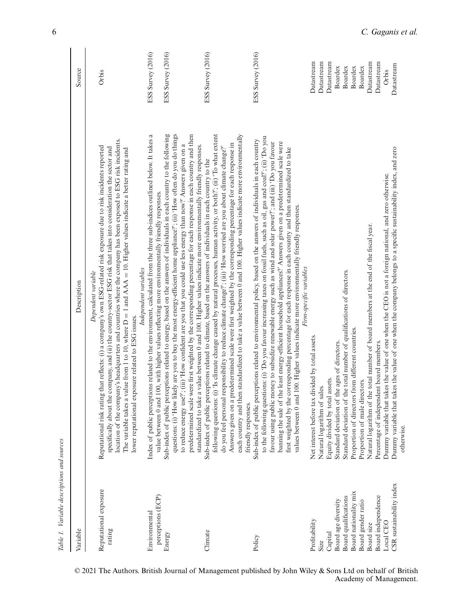| Table 1. Variable descriptions and sources    |                                                                                                                                                                                                                                                                                                                                                                                                                                                                                                                                                                                                                                                                                                                                                                                                                                                       |                                        |
|-----------------------------------------------|-------------------------------------------------------------------------------------------------------------------------------------------------------------------------------------------------------------------------------------------------------------------------------------------------------------------------------------------------------------------------------------------------------------------------------------------------------------------------------------------------------------------------------------------------------------------------------------------------------------------------------------------------------------------------------------------------------------------------------------------------------------------------------------------------------------------------------------------------------|----------------------------------------|
| Variable                                      | Description                                                                                                                                                                                                                                                                                                                                                                                                                                                                                                                                                                                                                                                                                                                                                                                                                                           | Source                                 |
| Reputational exposure<br>rating               | location of the company's headquarters and countries where the company has been exposed to ESG risk incidents.<br>Reputational risk rating that reflects: (i) a company's own ESG-related risk exposure due to risk incidents reported<br>specifically about the company, and (ii) the country-sector ESG risk that takes into consideration the sector and<br>The variable takes a value from 1 to 10, where $D = 1$ and $AAA = 10$ . Higher values indicate a better rating and<br>Dependent variable<br>lower reputational exposure related to ESG issues.                                                                                                                                                                                                                                                                                         | Orbis                                  |
| perceptions (ECP)<br>Environmental<br>Energy  | Sub-index of public perceptions related to energy, based on the answers of individuals in each country to the following<br>questions: (i) 'How likely are you to buy the most energy-efficient home appliance?'; (ii) 'How often do you do things<br>Index of public perceptions related to the environment, calculated from the three sub-indices outlined below. It takes a<br>value between 0 and 100, with higher values reflecting more environmentally friendly responses.<br>Independent variables                                                                                                                                                                                                                                                                                                                                             | ESS Survey (2016)<br>ESS Survey (2016) |
| Climate                                       | following questions: (i) 'Is climate change caused by natural processes, human activity, or both?'; (ii) 'To what extent<br>predetermined scale were first weighted by the corresponding percentage for each response in each country and then<br>Answers given on a predetermined scale were first weighted by the corresponding percentage for each response in<br>to reduce energy use?'; (iii) 'How confident are you that you could use less energy than now?' Answers given on a<br>standardized to take a value between 0 and 100. Higher values indicate more environmentally friendly responses.<br>do you feel personal responsibility to reduce climate change?; (iii) 'How worried are you about climate change?<br>Sub-index of public perceptions related to climate, based on the answers of individuals in each country to the        | ESS Survey (2016)                      |
| Policy                                        | each country and then standardized to take a value between 0 and 100. Higher values indicate more environmentally<br>to the following questions: (i) 'Do you favour increasing taxes on fossil fuels, such as oil, gas and coal?'; (ii) 'Do you<br>Sub-index of public perceptions related to environmental policy, based on the answers of individuals in each country<br>favour using public money to subsidize renewable energy such as wind and solar power?'; and (iii) 'Do you favour<br>banning the sale of the least energy-efficient household appliances? Answers given on a predetermined scale were<br>first weighted by the corresponding percentage for each response in each country and then standardized to take<br>values between 0 and 100. Higher values indicate more environmentally friendly responses.<br>friendly responses. | ESS Survey (2016)                      |
| Profitability                                 | Firm-specific variables<br>Net interest before tax divided by total assets.                                                                                                                                                                                                                                                                                                                                                                                                                                                                                                                                                                                                                                                                                                                                                                           | Datastream                             |
| Size                                          | Natural logarithm of sales.                                                                                                                                                                                                                                                                                                                                                                                                                                                                                                                                                                                                                                                                                                                                                                                                                           | Datastream                             |
| Capital                                       | Equity divided by total assets.                                                                                                                                                                                                                                                                                                                                                                                                                                                                                                                                                                                                                                                                                                                                                                                                                       | Datastream                             |
| Board age diversity                           | Standard deviation of the ages of directors.                                                                                                                                                                                                                                                                                                                                                                                                                                                                                                                                                                                                                                                                                                                                                                                                          | Boardex                                |
| Board nationality mix<br>Board qualifications | Standard deviation of the total number of qualifications of directors.<br>Proportion of directors from different countries.                                                                                                                                                                                                                                                                                                                                                                                                                                                                                                                                                                                                                                                                                                                           | <b>Boardex</b><br>Boardex              |
| Board gender ratio                            | Proportion of male directors.                                                                                                                                                                                                                                                                                                                                                                                                                                                                                                                                                                                                                                                                                                                                                                                                                         | Boardex                                |
| Board size                                    | Natural logarithm of the total number of board members at the end of the fiscal year.                                                                                                                                                                                                                                                                                                                                                                                                                                                                                                                                                                                                                                                                                                                                                                 | Datastream                             |
| Board independence                            | Percentage of independent board members.                                                                                                                                                                                                                                                                                                                                                                                                                                                                                                                                                                                                                                                                                                                                                                                                              | Datastream                             |
| CSR sustainability index<br>Local CEO         | Dummy variable that takes the value of one when the CEO is not a foreign national, and zero otherwise.                                                                                                                                                                                                                                                                                                                                                                                                                                                                                                                                                                                                                                                                                                                                                | Datastream<br>Orbis                    |
|                                               | Dummy variable that takes the value of one when the company belongs to a specific sustainability index, and zero<br>otherwise.                                                                                                                                                                                                                                                                                                                                                                                                                                                                                                                                                                                                                                                                                                                        |                                        |

© 2021 The Authors. British Journal of Management published by John Wiley & Sons Ltd on behalf of British Academy of Management.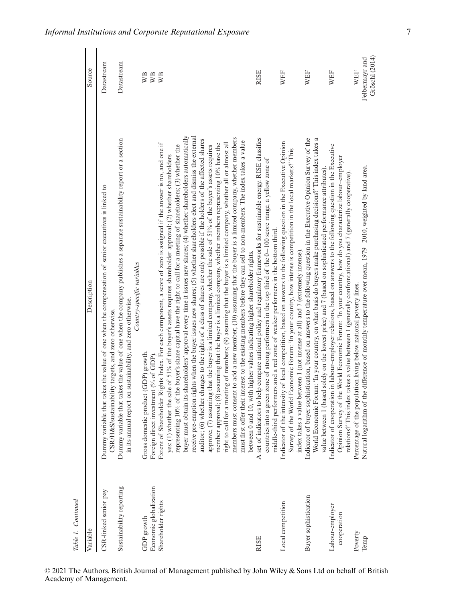| Table 1. Continued                   |                                                                                                                                                                                                                                                                                                                                                                                                                                                                                                                                                                                                                                                                                                                                                                                                                                                                                                                                                                                                                                                                                                                                                                                                                                                                                                                                                |                       |
|--------------------------------------|------------------------------------------------------------------------------------------------------------------------------------------------------------------------------------------------------------------------------------------------------------------------------------------------------------------------------------------------------------------------------------------------------------------------------------------------------------------------------------------------------------------------------------------------------------------------------------------------------------------------------------------------------------------------------------------------------------------------------------------------------------------------------------------------------------------------------------------------------------------------------------------------------------------------------------------------------------------------------------------------------------------------------------------------------------------------------------------------------------------------------------------------------------------------------------------------------------------------------------------------------------------------------------------------------------------------------------------------|-----------------------|
| Variable                             | Description                                                                                                                                                                                                                                                                                                                                                                                                                                                                                                                                                                                                                                                                                                                                                                                                                                                                                                                                                                                                                                                                                                                                                                                                                                                                                                                                    | Source                |
| CSR-linked senior pay                | Dummy variable that takes the value of one when the compensation of senior executives is linked to<br>CSR/H&S/sustainability targets, and zero otherwise.                                                                                                                                                                                                                                                                                                                                                                                                                                                                                                                                                                                                                                                                                                                                                                                                                                                                                                                                                                                                                                                                                                                                                                                      | Datastream            |
| Sustainability reporting             | Dummy variable that takes the value of one when the company publishes a separate sustainability report or a section<br>Country-specific variables<br>in its annual report on sustainability, and zero otherwise.                                                                                                                                                                                                                                                                                                                                                                                                                                                                                                                                                                                                                                                                                                                                                                                                                                                                                                                                                                                                                                                                                                                               | Datastream            |
| Economic globalization<br>GDP growth | oduct (GDP) growth.<br>Foreign direct investment (% of GDP).<br>Gross domestic pr                                                                                                                                                                                                                                                                                                                                                                                                                                                                                                                                                                                                                                                                                                                                                                                                                                                                                                                                                                                                                                                                                                                                                                                                                                                              | WB<br>WB              |
| Shareholder rights                   | buyer must obtain its shareholders' approval every time it issues new shares; (4) whether shareholders automatically<br>receive pre-emption rights when the buyer issues new shares; (5) whether shareholders elect and dismiss the external<br>members must consent to add a new member; (10) assuming that the buyer is a limited company, whether members<br>auditor; (6) whether changes to the rights of a class of shares are only possible if the holders of the affected shares<br>must first offer their interest to the existing members before they can sell to non-members. The index takes a value<br>right to call for a meeting of members; (9) assuming that the buyer is a limited company, whether all or almost all<br>Extent of Shareholder Rights Index. For each component, a score of zero is assigned if the answer is no, and one if<br>member approval; (8) assuming that the buyer is a limited company, whether members representing 10% have the<br>representing 10% of the buyer's share capital have the right to call for a meeting of shareholders; (3) whether the<br>approve; (7) assuming that the buyer is a limited company, whether the sale of $51\%$ of the buyer's assets requires<br>yes: (1) whether the sale of 51% of the buyer's assets requires shareholder approval; (2) whether shareholders | WВ                    |
| <b>RISE</b>                          | A set of indicators to help compare national policy and regulatory frameworks for sustainable energy. RISE classifies<br>green zone of strong performers in the top third of the $0-100$ score range, a yellow zone of<br>middle-third performers and a red zone of weaker performers in the bottom third.<br>between 0 and 10, with higher values indicating higher shareholder rights.<br>countries into a                                                                                                                                                                                                                                                                                                                                                                                                                                                                                                                                                                                                                                                                                                                                                                                                                                                                                                                                   | <b>RISE</b>           |
| Local competition                    | Indicator of the intensity of local competition, based on answers to the following question in the Executive Opinion<br>Survey of the World Economic Forum: 'In your country, how intense is competition in the local markets?' This<br>index takes a value between 1 (not intense at all) and 7 (extremely intense).                                                                                                                                                                                                                                                                                                                                                                                                                                                                                                                                                                                                                                                                                                                                                                                                                                                                                                                                                                                                                          | WEF                   |
| Buyer sophistication                 | Indicator of buyer sophistication, based on answers to the following question in the Executive Opinion Survey of the<br>World Economic Forum: 'In your country, on what basis do buyers make purchasing decisions?' This index takes a<br>value between 1 (based solely on the lowest price) and 7 (based on sophisticated performance attributes)                                                                                                                                                                                                                                                                                                                                                                                                                                                                                                                                                                                                                                                                                                                                                                                                                                                                                                                                                                                             | WEF                   |
| Labour-employer<br>cooperation       | Indicator of cooperation in labour-employer relations, based on answers to the following question in the Executive<br>Opinion Survey of the World Economic Forum: 'In your country, how do you characterize labour-employer<br>relations?' This index takes a value between 1 (generally confrontational) and 7 (generally cooperative)                                                                                                                                                                                                                                                                                                                                                                                                                                                                                                                                                                                                                                                                                                                                                                                                                                                                                                                                                                                                        | WEF                   |
| Poverty<br>Temp                      | of the difference of monthly temperature over mean, 1979-2010, weighted by land area.<br>Percentage of the population living below national poverty lines.<br>Natural logarithm                                                                                                                                                                                                                                                                                                                                                                                                                                                                                                                                                                                                                                                                                                                                                                                                                                                                                                                                                                                                                                                                                                                                                                | Felbermayr and<br>WEF |
|                                      |                                                                                                                                                                                                                                                                                                                                                                                                                                                                                                                                                                                                                                                                                                                                                                                                                                                                                                                                                                                                                                                                                                                                                                                                                                                                                                                                                | Gröschl (2014)        |

*Informal Institutions and Corporate Reputational Exposure* 7

© 2021 The Authors. British Journal of Management published by John Wiley & Sons Ltd on behalf of British Academy of Management.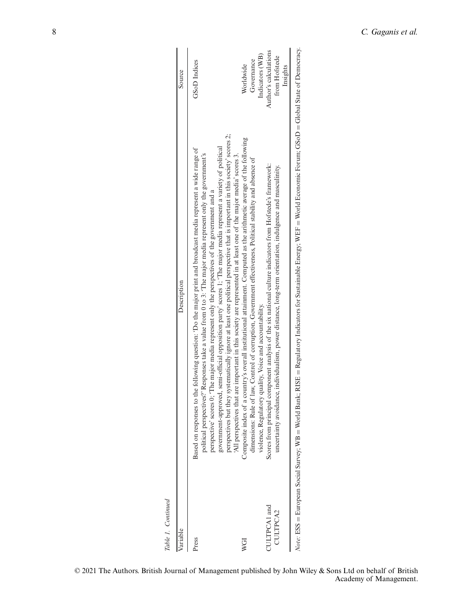| Variable     | Description                                                                                                                                                                                                                                                                                                                                                                                                                                                                                                                                                                           | Source                                   |
|--------------|---------------------------------------------------------------------------------------------------------------------------------------------------------------------------------------------------------------------------------------------------------------------------------------------------------------------------------------------------------------------------------------------------------------------------------------------------------------------------------------------------------------------------------------------------------------------------------------|------------------------------------------|
| Press        | perspectives but they systematically ignore at least one political perspective that is important in this society' scores 2;<br>government-approved, semi-official opposition party' scores 1; 'The major media represent a variety of political<br>Based on responses to the following question: 'Do the major print and broadcast media represent a wide range of<br>political perspectives? Responses take a value from 0 to 3: 'The major media represent only the government's<br>perspective' scores 0; 'The major media represent only the perspectives of the government and a | <b>GSoD</b> Indices                      |
| WGI          | Composite index of a country's overall institutional attainment. Computed as the arithmetic average of the following<br>All perspectives that are important in this society are represented in at least one of the major media' scores 3.<br>dimensions: Rule of law, Control of corruption, Government effectiveness, Political stability and absence of                                                                                                                                                                                                                             | Governance<br>Worldwide                  |
| CULTPCA1 and | Scores from principal component analysis of the six national culture indicators from Hofstede's framework:<br>violence, Regulatory quality, Voice and accountability.                                                                                                                                                                                                                                                                                                                                                                                                                 | Author's calculations<br>Indicators (WB) |
| CULTPCA2     | uncertainty avoidance, individualism, power distance, long-term orientation, indulgence and masculinity.                                                                                                                                                                                                                                                                                                                                                                                                                                                                              | from Hofstede<br>Insights                |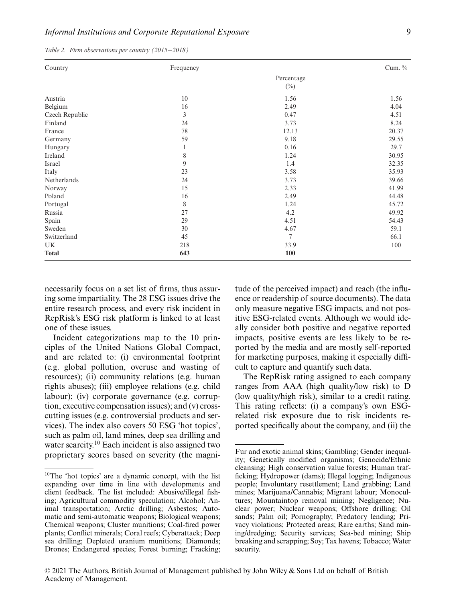| Country        | Frequency |                      | Cum. % |
|----------------|-----------|----------------------|--------|
|                |           | Percentage<br>$(\%)$ |        |
| Austria        | 10        | 1.56                 | 1.56   |
| Belgium        | 16        | 2.49                 | 4.04   |
| Czech Republic | 3         | 0.47                 | 4.51   |
| Finland        | 24        | 3.73                 | 8.24   |
| France         | 78        | 12.13                | 20.37  |
| Germany        | 59        | 9.18                 | 29.55  |
| Hungary        | 1         | 0.16                 | 29.7   |
| Ireland        | 8         | 1.24                 | 30.95  |
| Israel         | 9         | 1.4                  | 32.35  |
| Italy          | 23        | 3.58                 | 35.93  |
| Netherlands    | 24        | 3.73                 | 39.66  |
| Norway         | 15        | 2.33                 | 41.99  |
| Poland         | 16        | 2.49                 | 44.48  |
| Portugal       | 8         | 1.24                 | 45.72  |
| Russia         | 27        | 4.2                  | 49.92  |
| Spain          | 29        | 4.51                 | 54.43  |
| Sweden         | 30        | 4.67                 | 59.1   |
| Switzerland    | 45        | 7                    | 66.1   |
| UK.            | 218       | 33.9                 | 100    |
| <b>Total</b>   | 643       | 100                  |        |

*Table 2. Firm observations per country (2015*−*2018)*

necessarily focus on a set list of firms, thus assuring some impartiality. The 28 ESG issues drive the entire research process, and every risk incident in RepRisk's ESG risk platform is linked to at least one of these issues.

Incident categorizations map to the 10 principles of the United Nations Global Compact, and are related to: (i) environmental footprint (e.g. global pollution, overuse and wasting of resources); (ii) community relations (e.g. human rights abuses); (iii) employee relations (e.g. child labour); (iv) corporate governance (e.g. corruption, executive compensation issues); and (v) crosscutting issues (e.g. controversial products and services). The index also covers 50 ESG 'hot topics', such as palm oil, land mines, deep sea drilling and water scarcity.10 Each incident is also assigned two proprietary scores based on severity (the magnitude of the perceived impact) and reach (the influence or readership of source documents). The data only measure negative ESG impacts, and not positive ESG-related events. Although we would ideally consider both positive and negative reported impacts, positive events are less likely to be reported by the media and are mostly self -reported for marketing purposes, making it especially difficult to capture and quantify such data.

The RepRisk rating assigned to each company ranges from AAA (high quality/low risk) to D (low quality/high risk), similar to a credit rating. This rating reflects: (i) a company's own ESGrelated risk exposure due to risk incidents reported specifically about the company, and (ii) the

 $10$ The 'hot topics' are a dynamic concept, with the list expanding over time in line with developments and client feedback. The list included: Abusive/illegal fishing; Agricultural commodity speculation; Alcohol; Animal transportation; Arctic drilling; Asbestos; Automatic and semi-automatic weapons; Biological weapons; Chemical weapons; Cluster munitions; Coal-fired power plants; Conflict minerals; Coral reefs; Cyberattack; Deep sea drilling; Depleted uranium munitions; Diamonds; Drones; Endangered species; Forest burning; Fracking;

Fur and exotic animal skins; Gambling; Gender inequality; Genetically modified organisms; Genocide/Ethnic cleansing; High conservation value forests; Human trafficking; Hydropower (dams); Illegal logging; Indigenous people; Involuntary resettlement; Land grabbing; Land mines; Marijuana/Cannabis; Migrant labour; Monocultures; Mountaintop removal mining; Negligence; Nuclear power; Nuclear weapons; Offshore drilling; Oil sands; Palm oil; Pornography; Predatory lending; Privacy violations; Protected areas; Rare earths; Sand mining/dredging; Security services; Sea-bed mining; Ship breaking and scrapping; Soy; Tax havens; Tobacco; Water security.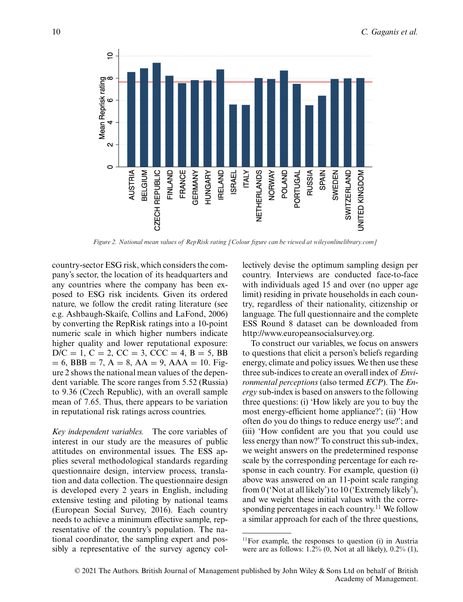

*Figure 2. National mean values of RepRisk rating [Colour figure can be viewed at wileyonlinelibrary.com]*

country-sector ESG risk, which considers the company's sector, the location of its headquarters and any countries where the company has been exposed to ESG risk incidents. Given its ordered nature, we follow the credit rating literature (see e.g. Ashbaugh-Skaife, Collins and LaFond, 2006) by converting the RepRisk ratings into a 10-point numeric scale in which higher numbers indicate higher quality and lower reputational exposure:  $D/C = 1, C = 2, CC = 3, CCC = 4, B = 5, BB$  $= 6$ , BBB  $= 7$ ,  $A = 8$ ,  $AA = 9$ ,  $AAA = 10$ . Figure 2 shows the national mean values of the dependent variable. The score ranges from 5.52 (Russia) to 9.36 (Czech Republic), with an overall sample mean of 7.65. Thus, there appears to be variation in reputational risk ratings across countries.

*Key independent variables.* The core variables of interest in our study are the measures of public attitudes on environmental issues. The ESS applies several methodological standards regarding questionnaire design, interview process, translation and data collection. The questionnaire design is developed every 2 years in English, including extensive testing and piloting by national teams (European Social Survey, 2016). Each country needs to achieve a minimum effective sample, representative of the country's population. The national coordinator, the sampling expert and possibly a representative of the survey agency collectively devise the optimum sampling design per country. Interviews are conducted face-to-face with individuals aged 15 and over (no upper age limit) residing in private households in each country, regardless of their nationality, citizenship or language. The full questionnaire and the complete ESS Round 8 dataset can be downloaded from [http://www.europeansocialsurvey.org.](http://www.europeansocialsurvey.org)

To construct our variables, we focus on answers to questions that elicit a person's beliefs regarding energy, climate and policy issues. We then use these three sub-indices to create an overall index of *Environmental perceptions* (also termed *ECP*). The *Energy* sub-index is based on answers to the following three questions: (i) 'How likely are you to buy the most energy-efficient home appliance?'; (ii) 'How often do you do things to reduce energy use?'; and (iii) 'How confident are you that you could use less energy than now?' To construct this sub-index, we weight answers on the predetermined response scale by the corresponding percentage for each response in each country. For example, question (i) above was answered on an 11-point scale ranging from 0 ('Not at all likely') to 10 ('Extremely likely'), and we weight these initial values with the corresponding percentages in each country.<sup>11</sup> We follow a similar approach for each of the three questions,

<sup>&</sup>lt;sup>11</sup>For example, the responses to question (i) in Austria were are as follows:  $1.2\%$  (0, Not at all likely),  $0.2\%$  (1),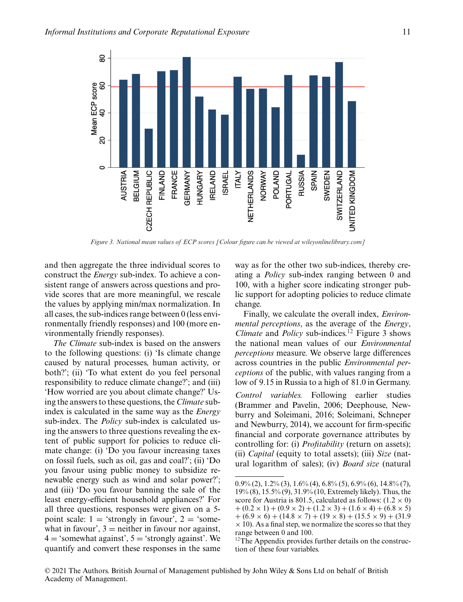

*Figure 3. National mean values of ECP scores [Colour figure can be viewed at wileyonlinelibrary.com]*

and then aggregate the three individual scores to construct the *Energy* sub-index. To achieve a consistent range of answers across questions and provide scores that are more meaningful, we rescale the values by applying min/max normalization. In all cases, the sub-indices range between 0 (less environmentally friendly responses) and 100 (more environmentally friendly responses).

*The Climate* sub-index is based on the answers to the following questions: (i) 'Is climate change caused by natural processes, human activity, or both?'; (ii) 'To what extent do you feel personal responsibility to reduce climate change?'; and (iii) 'How worried are you about climate change?' Using the answers to these questions, the *Climate* subindex is calculated in the same way as the *Energy* sub-index. Τhe *Policy* sub-index is calculated using the answers to three questions revealing the extent of public support for policies to reduce climate change: (i) 'Do you favour increasing taxes on fossil fuels, such as oil, gas and coal?'; (ii) 'Do you favour using public money to subsidize renewable energy such as wind and solar power?'; and (iii) 'Do you favour banning the sale of the least energy-efficient household appliances?' For all three questions, responses were given on a 5 point scale:  $1 =$  'strongly in favour',  $2 =$  'somewhat in favour',  $3$  = neither in favour nor against,  $4 = 'somewhat against', 5 = 'strongly against'. We$ quantify and convert these responses in the same

way as for the other two sub-indices, thereby creating a *Policy* sub-index ranging between 0 and 100, with a higher score indicating stronger public support for adopting policies to reduce climate change.

Finally, we calculate the overall index, *Environmental perceptions*, as the average of the *Energy*, *Climate* and *Policy* sub-indices.<sup>12</sup> Figure 3 shows the national mean values of our *Environmental perceptions* measure. We observe large differences across countries in the public *Environmental perceptions* of the public, with values ranging from a low of 9.15 in Russia to a high of 81.0 in Germany.

*Control variables.* Following earlier studies (Brammer and Pavelin, 2006; Deephouse, Newburry and Soleimani, 2016; Soleimani, Schneper and Newburry, 2014), we account for firm-specific financial and corporate governance attributes by controlling for: (i) *Profitability* (return on assets); (ii) *Capital* (equity to total assets); (iii) *Size* (natural logarithm of sales); (iv) *Board size* (natural

 $0.9\%$  (2),  $1.2\%$  (3),  $1.6\%$  (4),  $6.8\%$  (5),  $6.9\%$  (6),  $14.8\%$  (7), 19% (8), 15.5% (9), 31.9% (10, Extremely likely). Thus, the score for Austria is 801.5, calculated as follows:  $(1.2 \times 0)$  $+(0.2 \times 1) + (0.9 \times 2) + (1.2 \times 3) + (1.6 \times 4) + (6.8 \times 5)$  $+(6.9 \times 6) + (14.8 \times 7) + (19 \times 8) + (15.5 \times 9) + (31.9$  $\times$  10). As a final step, we normalize the scores so that they range between 0 and 100.

<sup>&</sup>lt;sup>12</sup>The Appendix provides further details on the construction of these four variables.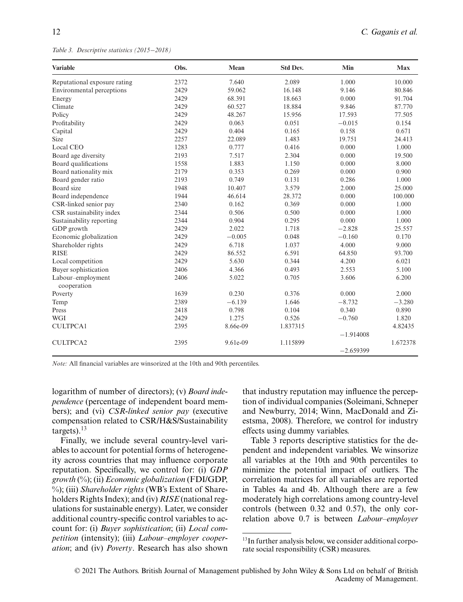*Table 3. Descriptive statistics (2015*−*2018)*

| <b>Variable</b>                  | Obs. | Mean     | <b>Std Dev.</b> | Min         | <b>Max</b> |
|----------------------------------|------|----------|-----------------|-------------|------------|
| Reputational exposure rating     | 2372 | 7.640    | 2.089           | 1.000       | 10.000     |
| Environmental perceptions        | 2429 | 59.062   | 16.148          | 9.146       | 80.846     |
| Energy                           | 2429 | 68.391   | 18.663          | 0.000       | 91.704     |
| Climate                          | 2429 | 60.527   | 18.884          | 9.846       | 87.770     |
| Policy                           | 2429 | 48.267   | 15.956          | 17.593      | 77.505     |
| Profitability                    | 2429 | 0.063    | 0.051           | $-0.015$    | 0.154      |
| Capital                          | 2429 | 0.404    | 0.165           | 0.158       | 0.671      |
| Size                             | 2257 | 22.089   | 1.483           | 19.751      | 24.413     |
| Local CEO                        | 1283 | 0.777    | 0.416           | 0.000       | 1.000      |
| Board age diversity              | 2193 | 7.517    | 2.304           | 0.000       | 19.500     |
| Board qualifications             | 1558 | 1.883    | 1.150           | 0.000       | 8.000      |
| Board nationality mix            | 2179 | 0.353    | 0.269           | 0.000       | 0.900      |
| Board gender ratio               | 2193 | 0.749    | 0.131           | 0.286       | 1.000      |
| Board size                       | 1948 | 10.407   | 3.579           | 2.000       | 25.000     |
| Board independence               | 1944 | 46.614   | 28.372          | 0.000       | 100.000    |
| CSR-linked senior pay            | 2340 | 0.162    | 0.369           | 0.000       | 1.000      |
| CSR sustainability index         | 2344 | 0.506    | 0.500           | 0.000       | 1.000      |
| Sustainability reporting         | 2344 | 0.904    | 0.295           | 0.000       | 1.000      |
| GDP growth                       | 2429 | 2.022    | 1.718           | $-2.828$    | 25.557     |
| Economic globalization           | 2429 | $-0.005$ | 0.048           | $-0.160$    | 0.170      |
| Shareholder rights               | 2429 | 6.718    | 1.037           | 4.000       | 9.000      |
| <b>RISE</b>                      | 2429 | 86.552   | 6.591           | 64.850      | 93.700     |
| Local competition                | 2429 | 5.630    | 0.344           | 4.200       | 6.021      |
| Buyer sophistication             | 2406 | 4.366    | 0.493           | 2.553       | 5.100      |
| Labour-employment<br>cooperation | 2406 | 5.022    | 0.705           | 3.606       | 6.200      |
| Poverty                          | 1639 | 0.230    | 0.376           | 0.000       | 2.000      |
| Temp                             | 2389 | $-6.139$ | 1.646           | $-8.732$    | $-3.280$   |
| Press                            | 2418 | 0.798    | 0.104           | 0.340       | 0.890      |
| <b>WGI</b>                       | 2429 | 1.275    | 0.526           | $-0.760$    | 1.820      |
| <b>CULTPCA1</b>                  | 2395 | 8.66e-09 | 1.837315        |             | 4.82435    |
|                                  |      |          |                 | $-1.914008$ |            |
| <b>CULTPCA2</b>                  | 2395 | 9.61e-09 | 1.115899        |             | 1.672378   |
|                                  |      |          |                 | $-2.659399$ |            |

*Note:* All financial variables are winsorized at the 10th and 90th percentiles.

logarithm of number of directors); (v) *Board independence* (percentage of independent board members); and (vi) *CSR-linked senior pay* (executive compensation related to CSR/H&S/Sustainability targets). $^{13}$ 

Finally, we include several country-level variables to account for potential forms of heterogeneity across countries that may influence corporate reputation. Specifically, we control for: (i) *GDP growth* (%); (ii) *Economic globalization* (FDI/GDP, %); (iii) *Shareholder rights* (WB's Extent of Shareholders Rights Index); and (iv) *RISE* (national regulations for sustainable energy). Later, we consider additional country-specific control variables to account for: (i) *Buyer sophistication*; (ii) *Local competition* (intensity); (iii) *Labour–employer cooperation*; and (iv) *Poverty*. Research has also shown that industry reputation may influence the perception of individual companies (Soleimani, Schneper and Newburry, 2014; Winn, MacDonald and Ziestsma, 2008). Therefore, we control for industry effects using dummy variables.

Table 3 reports descriptive statistics for the dependent and independent variables. We winsorize all variables at the 10th and 90th percentiles to minimize the potential impact of outliers. The correlation matrices for all variables are reported in Tables 4a and 4b. Although there are a few moderately high correlations among country-level controls (between 0.32 and 0.57), the only correlation above 0.7 is between *Labour–employer*

<sup>&</sup>lt;sup>13</sup>In further analysis below, we consider additional corporate social responsibility (CSR) measures.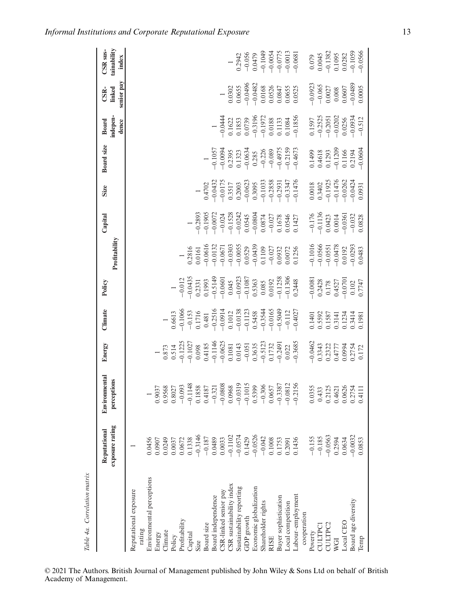| Table 4a. Correlation matrix    |                                                                     |                                                                                                                                                                                                                                                                                                                      |                                                                                                                                                                |                                                                                                                                                                                                                                                                                                                                                                                                                 |                                                                                                                                      |                                                                                                                                                                                                                                                                                                                 |                                                                                                                                                                                                                                                                                               |                                                                                                                                                                                                                                                                                                                           |                                                                                                                                                                                                                                                                                                                              |                                                                                                                                                                   |                                                                                                                            |                                                                                                                                  |
|---------------------------------|---------------------------------------------------------------------|----------------------------------------------------------------------------------------------------------------------------------------------------------------------------------------------------------------------------------------------------------------------------------------------------------------------|----------------------------------------------------------------------------------------------------------------------------------------------------------------|-----------------------------------------------------------------------------------------------------------------------------------------------------------------------------------------------------------------------------------------------------------------------------------------------------------------------------------------------------------------------------------------------------------------|--------------------------------------------------------------------------------------------------------------------------------------|-----------------------------------------------------------------------------------------------------------------------------------------------------------------------------------------------------------------------------------------------------------------------------------------------------------------|-----------------------------------------------------------------------------------------------------------------------------------------------------------------------------------------------------------------------------------------------------------------------------------------------|---------------------------------------------------------------------------------------------------------------------------------------------------------------------------------------------------------------------------------------------------------------------------------------------------------------------------|------------------------------------------------------------------------------------------------------------------------------------------------------------------------------------------------------------------------------------------------------------------------------------------------------------------------------|-------------------------------------------------------------------------------------------------------------------------------------------------------------------|----------------------------------------------------------------------------------------------------------------------------|----------------------------------------------------------------------------------------------------------------------------------|
|                                 | exposure rating<br>Reputational                                     | Environmental<br>perceptions                                                                                                                                                                                                                                                                                         | Energy                                                                                                                                                         | Climate                                                                                                                                                                                                                                                                                                                                                                                                         | Policy                                                                                                                               | Profitability                                                                                                                                                                                                                                                                                                   | Capital                                                                                                                                                                                                                                                                                       | Size                                                                                                                                                                                                                                                                                                                      | Board size                                                                                                                                                                                                                                                                                                                   | indepen-<br>Board<br>dence                                                                                                                                        | senior pay<br>linked<br>CSR-                                                                                               | tainability<br>CSR <sub>sus-</sub><br>index                                                                                      |
| Reputational exposure<br>rating |                                                                     |                                                                                                                                                                                                                                                                                                                      |                                                                                                                                                                |                                                                                                                                                                                                                                                                                                                                                                                                                 |                                                                                                                                      |                                                                                                                                                                                                                                                                                                                 |                                                                                                                                                                                                                                                                                               |                                                                                                                                                                                                                                                                                                                           |                                                                                                                                                                                                                                                                                                                              |                                                                                                                                                                   |                                                                                                                            |                                                                                                                                  |
| Environmental perceptions       | 0.0456                                                              |                                                                                                                                                                                                                                                                                                                      |                                                                                                                                                                |                                                                                                                                                                                                                                                                                                                                                                                                                 |                                                                                                                                      |                                                                                                                                                                                                                                                                                                                 |                                                                                                                                                                                                                                                                                               |                                                                                                                                                                                                                                                                                                                           |                                                                                                                                                                                                                                                                                                                              |                                                                                                                                                                   |                                                                                                                            |                                                                                                                                  |
| Energy                          | 0.0907                                                              |                                                                                                                                                                                                                                                                                                                      |                                                                                                                                                                |                                                                                                                                                                                                                                                                                                                                                                                                                 |                                                                                                                                      |                                                                                                                                                                                                                                                                                                                 |                                                                                                                                                                                                                                                                                               |                                                                                                                                                                                                                                                                                                                           |                                                                                                                                                                                                                                                                                                                              |                                                                                                                                                                   |                                                                                                                            |                                                                                                                                  |
| Climate                         | 0.0249                                                              | 0.9037<br>0.9568<br>0.8027                                                                                                                                                                                                                                                                                           | $\begin{array}{c} 1 \\ 0.873 \\ 0.514 \\ -0.1225 \end{array}$                                                                                                  |                                                                                                                                                                                                                                                                                                                                                                                                                 |                                                                                                                                      |                                                                                                                                                                                                                                                                                                                 |                                                                                                                                                                                                                                                                                               |                                                                                                                                                                                                                                                                                                                           |                                                                                                                                                                                                                                                                                                                              |                                                                                                                                                                   |                                                                                                                            |                                                                                                                                  |
| Policy                          | 0.0037                                                              |                                                                                                                                                                                                                                                                                                                      |                                                                                                                                                                | $\begin{array}{r} 1 \\ - \underline{96613} \\ 0.5613 \\ - \underline{1716} \\ 0.1716 \\ - \underline{1716} \\ 0.341 \\ - \underline{1716} \\ 0.041 \\ - \underline{1716} \\ 0.0121 \\ - \underline{17123} \\ 0.0123 \\ - \underline{17123} \\ 0.0123 \\ - \underline{17123} \\ 0.0101 \\ - \underline{1712} \\ 0.0049 \\ - \underline{112} \\ 0.0049 \\ - \underline{112} \\ 0.0049 \\ - \underline{112} \\ 0.$ | $\frac{1}{\sqrt{2}}$                                                                                                                 |                                                                                                                                                                                                                                                                                                                 |                                                                                                                                                                                                                                                                                               |                                                                                                                                                                                                                                                                                                                           |                                                                                                                                                                                                                                                                                                                              |                                                                                                                                                                   |                                                                                                                            |                                                                                                                                  |
| Profitability                   | 0.0672                                                              | $\begin{array}{r} -0.093 \\ -0.1148 \\ 0.1858 \\ 0.4187 \\ -0.0808 \\ -0.0808 \\ -0.0319 \\ -0.0319 \\ -0.0319 \\ -0.0319 \\ -0.0319 \\ -0.0339 \\ -0.3387 \\ -0.0312 \\ -0.0337 \\ -0.0312 \\ -0.0312 \\ -0.0312 \\ -0.0313 \\ -0.0312 \\ -0.0312 \\ -0.0312 \\ -0.0312 \\ -0.0312 \\ -0.0312 \\ -0.0312 \\ -0.031$ |                                                                                                                                                                |                                                                                                                                                                                                                                                                                                                                                                                                                 | $-0.012$<br>$-0.0435$<br>0.2331<br>0.1993<br>0.1993<br>0.045<br>0.00023<br>0.00023<br>0.0002<br>0.0002<br>0.1258<br>0.0002<br>0.0002 |                                                                                                                                                                                                                                                                                                                 |                                                                                                                                                                                                                                                                                               |                                                                                                                                                                                                                                                                                                                           |                                                                                                                                                                                                                                                                                                                              |                                                                                                                                                                   |                                                                                                                            |                                                                                                                                  |
| $\Box$ apital                   | 0.1338                                                              |                                                                                                                                                                                                                                                                                                                      |                                                                                                                                                                |                                                                                                                                                                                                                                                                                                                                                                                                                 |                                                                                                                                      |                                                                                                                                                                                                                                                                                                                 |                                                                                                                                                                                                                                                                                               |                                                                                                                                                                                                                                                                                                                           |                                                                                                                                                                                                                                                                                                                              |                                                                                                                                                                   |                                                                                                                            |                                                                                                                                  |
| Size                            | $-0.3146$                                                           |                                                                                                                                                                                                                                                                                                                      |                                                                                                                                                                |                                                                                                                                                                                                                                                                                                                                                                                                                 |                                                                                                                                      |                                                                                                                                                                                                                                                                                                                 |                                                                                                                                                                                                                                                                                               |                                                                                                                                                                                                                                                                                                                           |                                                                                                                                                                                                                                                                                                                              |                                                                                                                                                                   |                                                                                                                            |                                                                                                                                  |
| Board size                      | $-0.187$                                                            |                                                                                                                                                                                                                                                                                                                      |                                                                                                                                                                |                                                                                                                                                                                                                                                                                                                                                                                                                 |                                                                                                                                      |                                                                                                                                                                                                                                                                                                                 |                                                                                                                                                                                                                                                                                               |                                                                                                                                                                                                                                                                                                                           |                                                                                                                                                                                                                                                                                                                              |                                                                                                                                                                   |                                                                                                                            |                                                                                                                                  |
| Board independence              | $0.0489$<br>$0.0033$                                                |                                                                                                                                                                                                                                                                                                                      |                                                                                                                                                                |                                                                                                                                                                                                                                                                                                                                                                                                                 |                                                                                                                                      |                                                                                                                                                                                                                                                                                                                 |                                                                                                                                                                                                                                                                                               |                                                                                                                                                                                                                                                                                                                           |                                                                                                                                                                                                                                                                                                                              |                                                                                                                                                                   |                                                                                                                            |                                                                                                                                  |
| CSR-linked senior pay           |                                                                     |                                                                                                                                                                                                                                                                                                                      |                                                                                                                                                                |                                                                                                                                                                                                                                                                                                                                                                                                                 |                                                                                                                                      |                                                                                                                                                                                                                                                                                                                 |                                                                                                                                                                                                                                                                                               |                                                                                                                                                                                                                                                                                                                           |                                                                                                                                                                                                                                                                                                                              |                                                                                                                                                                   | $\overline{\phantom{0}}$                                                                                                   |                                                                                                                                  |
| CSR sustainability index        | $-0.1102$                                                           |                                                                                                                                                                                                                                                                                                                      | $-0.1027$<br>$0.098$<br>$0.4185$<br>$0.4185$<br>$-0.1146$<br>$-0.0625$<br>$0.1081$<br>$0.1031$<br>$-0.051$<br>$-0.3635$<br>$-0.3123$<br>$-0.1732$<br>$-0.2491$ |                                                                                                                                                                                                                                                                                                                                                                                                                 |                                                                                                                                      | $\begin{array}{r} 1 \\ -2816 \\ 0.2816 \\ -0.0616 \\ -0.0613 \\ -0.0303 \\ -0.0303 \\ -0.0303 \\ -0.0303 \\ -0.032 \\ -0.032 \\ -0.032 \\ -0.032 \\ 0.0932 \\ -0.007 \\ 0.007 \\ 0.007 \\ 0.007 \\ 0.007 \\ 0.007 \\ 0.007 \\ 0.007 \\ 0.007 \\ 0.007 \\ 0.007 \\ 0.007 \\ 0.007 \\ 0.007 \\ 0.007 \\ 0.007 \\$ | $\begin{array}{r} 1\\ -0.2893\\ -0.1905\\ -0.0072\\ -0.0072\\ -0.0074\\ -0.0034\\ -0.0343\\ -0.0343\\ -0.0344\\ -0.0034\\ -0.0034\\ -0.0034\\ -0.0034\\ -0.0034\\ -0.0034\\ -0.0034\\ -0.0034\\ -0.0034\\ -0.0034\\ -0.0034\\ -0.0034\\ -0.0034\\ -0.0034\\ -0.0034\\ -0.0034\\ -0.0034\\ -0$ | $\begin{array}{c} 1 \\ -4702 \\ -6.4732 \\ -6.0175 \\ -1.517 \\ 0.3517 \\ -6.003 \\ -6.003 \\ -6.003 \\ -6.033 \\ -6.03347 \\ -6.2931 \\ -6.2931 \\ -6.3347 \\ -6.3347 \\ -6.3347 \\ -6.3347 \\ -6.3347 \\ -6.3347 \\ -6.3347 \\ -6.3347 \\ -6.3347 \\ -6.3347 \\ -6.3347 \\ -6.3347 \\ -6.3347 \\ -6.3347 \\ -6.3347 \\$ | $\begin{array}{r} 1 \\ -0.1057 \\ -0.0094 \\ 0.2395 \\ 0.1323 \\ -0.0634 \\ -0.0835 \\ -0.285 \\ -0.24975 \\ -0.159 \\ -0.159 \\ -0.159 \\ -0.159 \\ -0.159 \\ -0.159 \\ -0.159 \\ -0.159 \\ -0.159 \\ -0.159 \\ -0.159 \\ -0.159 \\ -0.159 \\ -0.159 \\ -0.159 \\ -0.159 \\ -0.159 \\ -0.159 \\ -0.159 \\ -0.159 \\ -0.159$ | $\begin{array}{r} 1 \\ -0.0444 \\ 0.1622 \\ 0.1833 \\ 0.0739 \\ -0.3196 \\ -0.1972 \\ -0.1972 \\ 0.0188 \\ 0.0188 \\ -0.193 \\ -0.1034 \\ -0.1856 \\ \end{array}$ | $\begin{array}{l} 0.0302 \\ 0.0655 \\ -0.0496 \\ -0.0482 \\ 0.0168 \\ 0.0365 \\ 0.0347 \\ 0.0655 \\ 0.0655 \\ \end{array}$ |                                                                                                                                  |
| Sustainability reporting        | $-0.0574$                                                           |                                                                                                                                                                                                                                                                                                                      |                                                                                                                                                                |                                                                                                                                                                                                                                                                                                                                                                                                                 |                                                                                                                                      |                                                                                                                                                                                                                                                                                                                 |                                                                                                                                                                                                                                                                                               |                                                                                                                                                                                                                                                                                                                           |                                                                                                                                                                                                                                                                                                                              |                                                                                                                                                                   |                                                                                                                            | $\begin{array}{r} 0.2942 \\ -0.056 \\ -0.10479 \\ -0.1049 \\ -0.0054 \\ -0.0054 \\ -0.0013 \\ -0.0013 \\ -0.0013 \\ \end{array}$ |
| GDP growth                      | 0.1429                                                              |                                                                                                                                                                                                                                                                                                                      |                                                                                                                                                                |                                                                                                                                                                                                                                                                                                                                                                                                                 |                                                                                                                                      |                                                                                                                                                                                                                                                                                                                 |                                                                                                                                                                                                                                                                                               |                                                                                                                                                                                                                                                                                                                           |                                                                                                                                                                                                                                                                                                                              |                                                                                                                                                                   |                                                                                                                            |                                                                                                                                  |
| Economic globalization          | $-0.0526$                                                           |                                                                                                                                                                                                                                                                                                                      |                                                                                                                                                                |                                                                                                                                                                                                                                                                                                                                                                                                                 |                                                                                                                                      |                                                                                                                                                                                                                                                                                                                 |                                                                                                                                                                                                                                                                                               |                                                                                                                                                                                                                                                                                                                           |                                                                                                                                                                                                                                                                                                                              |                                                                                                                                                                   |                                                                                                                            |                                                                                                                                  |
| Shareholder rights              |                                                                     |                                                                                                                                                                                                                                                                                                                      |                                                                                                                                                                |                                                                                                                                                                                                                                                                                                                                                                                                                 |                                                                                                                                      |                                                                                                                                                                                                                                                                                                                 |                                                                                                                                                                                                                                                                                               |                                                                                                                                                                                                                                                                                                                           |                                                                                                                                                                                                                                                                                                                              |                                                                                                                                                                   |                                                                                                                            |                                                                                                                                  |
| <b>RISE</b>                     | $\begin{array}{c} -0.042 \\ 0.1008 \\ 0.1753 \\ 0.2091 \end{array}$ |                                                                                                                                                                                                                                                                                                                      |                                                                                                                                                                |                                                                                                                                                                                                                                                                                                                                                                                                                 |                                                                                                                                      |                                                                                                                                                                                                                                                                                                                 |                                                                                                                                                                                                                                                                                               |                                                                                                                                                                                                                                                                                                                           |                                                                                                                                                                                                                                                                                                                              |                                                                                                                                                                   |                                                                                                                            |                                                                                                                                  |
| <b>Buyer</b> sophistication     |                                                                     |                                                                                                                                                                                                                                                                                                                      |                                                                                                                                                                |                                                                                                                                                                                                                                                                                                                                                                                                                 |                                                                                                                                      |                                                                                                                                                                                                                                                                                                                 |                                                                                                                                                                                                                                                                                               |                                                                                                                                                                                                                                                                                                                           |                                                                                                                                                                                                                                                                                                                              |                                                                                                                                                                   |                                                                                                                            |                                                                                                                                  |
| Local competition               |                                                                     |                                                                                                                                                                                                                                                                                                                      |                                                                                                                                                                |                                                                                                                                                                                                                                                                                                                                                                                                                 |                                                                                                                                      |                                                                                                                                                                                                                                                                                                                 |                                                                                                                                                                                                                                                                                               |                                                                                                                                                                                                                                                                                                                           |                                                                                                                                                                                                                                                                                                                              |                                                                                                                                                                   |                                                                                                                            |                                                                                                                                  |
| Labour-employment               | 0.1436                                                              |                                                                                                                                                                                                                                                                                                                      |                                                                                                                                                                |                                                                                                                                                                                                                                                                                                                                                                                                                 |                                                                                                                                      |                                                                                                                                                                                                                                                                                                                 |                                                                                                                                                                                                                                                                                               |                                                                                                                                                                                                                                                                                                                           |                                                                                                                                                                                                                                                                                                                              |                                                                                                                                                                   |                                                                                                                            |                                                                                                                                  |
| cooperation                     |                                                                     |                                                                                                                                                                                                                                                                                                                      |                                                                                                                                                                |                                                                                                                                                                                                                                                                                                                                                                                                                 |                                                                                                                                      |                                                                                                                                                                                                                                                                                                                 |                                                                                                                                                                                                                                                                                               |                                                                                                                                                                                                                                                                                                                           |                                                                                                                                                                                                                                                                                                                              |                                                                                                                                                                   |                                                                                                                            |                                                                                                                                  |
| Poverty                         | $-0.155$                                                            | 0.0355                                                                                                                                                                                                                                                                                                               |                                                                                                                                                                |                                                                                                                                                                                                                                                                                                                                                                                                                 |                                                                                                                                      |                                                                                                                                                                                                                                                                                                                 |                                                                                                                                                                                                                                                                                               |                                                                                                                                                                                                                                                                                                                           |                                                                                                                                                                                                                                                                                                                              |                                                                                                                                                                   |                                                                                                                            |                                                                                                                                  |
| CULTPCI                         | $-0.185$                                                            | 0.433                                                                                                                                                                                                                                                                                                                |                                                                                                                                                                |                                                                                                                                                                                                                                                                                                                                                                                                                 |                                                                                                                                      |                                                                                                                                                                                                                                                                                                                 |                                                                                                                                                                                                                                                                                               |                                                                                                                                                                                                                                                                                                                           |                                                                                                                                                                                                                                                                                                                              |                                                                                                                                                                   |                                                                                                                            |                                                                                                                                  |
| CULTPC2                         | $-0.0563$                                                           | 0.2125                                                                                                                                                                                                                                                                                                               |                                                                                                                                                                |                                                                                                                                                                                                                                                                                                                                                                                                                 |                                                                                                                                      |                                                                                                                                                                                                                                                                                                                 |                                                                                                                                                                                                                                                                                               |                                                                                                                                                                                                                                                                                                                           |                                                                                                                                                                                                                                                                                                                              |                                                                                                                                                                   |                                                                                                                            |                                                                                                                                  |
| WGI                             | 0.2594                                                              | 0.4621                                                                                                                                                                                                                                                                                                               |                                                                                                                                                                |                                                                                                                                                                                                                                                                                                                                                                                                                 |                                                                                                                                      |                                                                                                                                                                                                                                                                                                                 |                                                                                                                                                                                                                                                                                               |                                                                                                                                                                                                                                                                                                                           |                                                                                                                                                                                                                                                                                                                              |                                                                                                                                                                   |                                                                                                                            |                                                                                                                                  |
| Local CEO                       | 0.0634                                                              |                                                                                                                                                                                                                                                                                                                      |                                                                                                                                                                |                                                                                                                                                                                                                                                                                                                                                                                                                 |                                                                                                                                      |                                                                                                                                                                                                                                                                                                                 |                                                                                                                                                                                                                                                                                               |                                                                                                                                                                                                                                                                                                                           |                                                                                                                                                                                                                                                                                                                              |                                                                                                                                                                   |                                                                                                                            |                                                                                                                                  |
| Board age diversity             | $-0.0032$                                                           | 0.0626<br>0.2754<br>0.4111                                                                                                                                                                                                                                                                                           | $-0.0462$<br>$0.3343$<br>$0.2322$<br>$0.4777$<br>$0.4777$<br>$0.0994$<br>$0.2754$                                                                              | 0.1401<br>0.5592<br>0.1587<br>0.1234<br>0.3414<br>0.1981                                                                                                                                                                                                                                                                                                                                                        | $-0.0081$<br>$0.2428$<br>$0.178$<br>$0.4527$<br>$-0.0701$<br>$0.102$<br>$0.102$                                                      | $\begin{array}{r} -0.1016 \\ -0.0566 \\ -0.0551 \\ -0.0478 \\ 0.0192 \\ -0.0293 \\ -0.0293 \end{array}$                                                                                                                                                                                                         | $\begin{array}{r} -0.176 \\ -0.1136 \\ 0.0423 \\ 0.0014 \\ -0.0361 \\ -0.032 \\ \end{array}$                                                                                                                                                                                                  | $\begin{array}{r} 0.0018 \\ 0.3402 \\ -0.1925 \\ -0.1476 \\ -0.0262 \\ -0.02424 \\ -0.0424 \end{array}$                                                                                                                                                                                                                   | $\begin{array}{r} 0.1499 \\ 0.4618 \\ 0.1293 \\ -0.1209 \\ 0.1166 \\ 0.1166 \\ -0.2194 \\ \end{array}$                                                                                                                                                                                                                       | $\begin{array}{r} 0.1597 \\ -0.2525 \\ -0.2051 \\ -0.0201 \\ -0.0202 \\ 0.0556 \\ -0.0334 \\ -0.512 \end{array}$                                                  | $\begin{array}{r} -0.0923 \\ -0.065 \\ 0.0027 \\ 0.003 \\ 0.0607 \\ -0.0489 \\ -0.0489 \\ 0.0005 \end{array}$              | $\begin{array}{c} 0.079 \\ 0.0045 \\ -0.1382 \\ 0.1095 \\ 0.0282 \\ -0.1059 \\ -0.059 \end{array}$                               |
| Temp                            | 0.0853                                                              |                                                                                                                                                                                                                                                                                                                      |                                                                                                                                                                |                                                                                                                                                                                                                                                                                                                                                                                                                 |                                                                                                                                      |                                                                                                                                                                                                                                                                                                                 |                                                                                                                                                                                                                                                                                               |                                                                                                                                                                                                                                                                                                                           |                                                                                                                                                                                                                                                                                                                              |                                                                                                                                                                   |                                                                                                                            |                                                                                                                                  |

© 2021 The Authors. British Journal of Management published by John Wiley & Sons Ltd on behalf of British Academy of Management.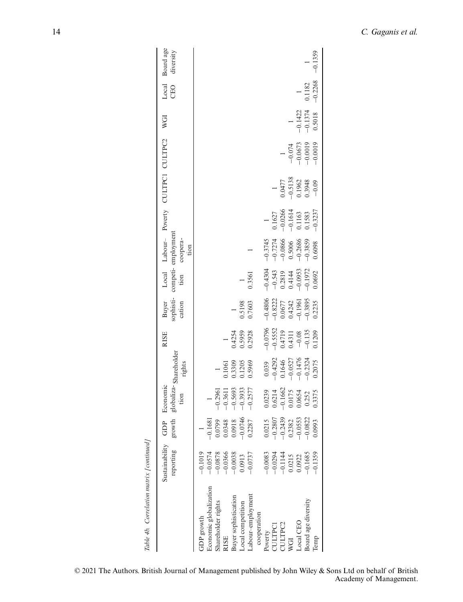| Table 4b. Correlation matrix [continued] |                                              |                                                                      |                                           |                                                                                                                 |                                                                       |                                                                            |                                                                        |                                                                            |                                                                       |                                                                      |                                    |                                                                  |                       |                        |
|------------------------------------------|----------------------------------------------|----------------------------------------------------------------------|-------------------------------------------|-----------------------------------------------------------------------------------------------------------------|-----------------------------------------------------------------------|----------------------------------------------------------------------------|------------------------------------------------------------------------|----------------------------------------------------------------------------|-----------------------------------------------------------------------|----------------------------------------------------------------------|------------------------------------|------------------------------------------------------------------|-----------------------|------------------------|
|                                          | Sustainability<br>reporting                  | growth<br>GDP                                                        | globaliza-Shareholder<br>Economic<br>tion | rights                                                                                                          | <b>RISE</b>                                                           | Buyer<br>sophisti-<br>cation                                               | Local<br>tion                                                          | competi-employment<br>coopera-<br>tion                                     |                                                                       | Labour- Poverty CULTPC1 CULTPC2                                      |                                    | WGI                                                              | Local<br>CEO          | Board age<br>diversity |
| GDP growth                               | $-0.1019$                                    |                                                                      |                                           |                                                                                                                 |                                                                       |                                                                            |                                                                        |                                                                            |                                                                       |                                                                      |                                    |                                                                  |                       |                        |
| Economic globalization                   | $-0.0574$                                    | $-0.1681$                                                            |                                           |                                                                                                                 |                                                                       |                                                                            |                                                                        |                                                                            |                                                                       |                                                                      |                                    |                                                                  |                       |                        |
| hareholder rights                        | $-0.0878$                                    |                                                                      | $-0.2961$                                 |                                                                                                                 |                                                                       |                                                                            |                                                                        |                                                                            |                                                                       |                                                                      |                                    |                                                                  |                       |                        |
| <b>RISE</b>                              |                                              | $\begin{array}{c} 0.0799 \\ 0.0348 \\ 0.0918 \\ -0.0746 \end{array}$ | $-0.3611$                                 | 0.1061                                                                                                          |                                                                       |                                                                            |                                                                        |                                                                            |                                                                       |                                                                      |                                    |                                                                  |                       |                        |
| Buyer sophistication                     | $-0.0366$<br>$-0.0038$                       |                                                                      | $-0.5693$                                 |                                                                                                                 |                                                                       |                                                                            |                                                                        |                                                                            |                                                                       |                                                                      |                                    |                                                                  |                       |                        |
| ocal competition                         | 0.0913                                       |                                                                      | $-0.3933$                                 | 0.3309<br>0.1205<br>0.5969                                                                                      | 0.4254<br>0.5959<br>0.2928                                            | 0.5198<br>0.7603                                                           |                                                                        |                                                                            |                                                                       |                                                                      |                                    |                                                                  |                       |                        |
| .abour-employment                        | $-0.0737$                                    | 0.2287                                                               | $-0.2577$                                 |                                                                                                                 |                                                                       |                                                                            | 0.3561                                                                 |                                                                            |                                                                       |                                                                      |                                    |                                                                  |                       |                        |
| cooperation                              |                                              |                                                                      |                                           |                                                                                                                 |                                                                       |                                                                            |                                                                        |                                                                            |                                                                       |                                                                      |                                    |                                                                  |                       |                        |
| Poverty                                  | $-0.0083$                                    | 0.0215                                                               | 0.0239                                    |                                                                                                                 |                                                                       |                                                                            |                                                                        |                                                                            |                                                                       |                                                                      |                                    |                                                                  |                       |                        |
| <b>ULTPCI</b>                            |                                              | $-0.2807$                                                            | 0.6214                                    |                                                                                                                 |                                                                       |                                                                            |                                                                        |                                                                            | 0.1627                                                                |                                                                      |                                    |                                                                  |                       |                        |
| ULTPC <sub>2</sub>                       |                                              | $-0.2439$                                                            |                                           |                                                                                                                 |                                                                       |                                                                            |                                                                        |                                                                            |                                                                       |                                                                      |                                    |                                                                  |                       |                        |
| WGI                                      |                                              | 0.2382                                                               |                                           |                                                                                                                 |                                                                       |                                                                            |                                                                        |                                                                            |                                                                       |                                                                      |                                    |                                                                  |                       |                        |
| Local CEO                                | $-0.0294$<br>$-0.1144$<br>$0.0215$<br>0.0922 | $-0.0553$                                                            | $-0.1662$<br>0.0175<br>0.0654             | $\begin{array}{r} 0.039 \\ -0.4292 \\ 0.1646 \\ 0.1646 \\ -0.0527 \\ -0.1476 \\ -0.1476 \\ -0.2324 \end{array}$ |                                                                       |                                                                            | $-0.4304$<br>$-0.543$<br>$0.2819$<br>$0.4144$<br>$0.0953$<br>$-0.0953$ | $-0.3745$<br>$-0.7274$<br>$-0.0866$<br>$-0.5006$<br>$-0.3835$<br>$-0.3839$ | $\begin{array}{c} -0.0266 \\ -0.1614 \\ 0.1163 \\ 0.1583 \end{array}$ | $\begin{array}{c} 0.0477 \\ -0.5138 \\ 0.1962 \\ 0.3948 \end{array}$ |                                    |                                                                  |                       |                        |
| Board age diversity                      | $-0.1685$                                    | $-0.0822$                                                            | 0.252                                     |                                                                                                                 | $-0.0796$<br>$-0.5552$<br>$0.4719$<br>$-0.311$<br>$-0.08$<br>$-0.135$ | $-0.4806$<br>$-0.8222$<br>$-0.0677$<br>$0.04242$<br>$-0.1961$<br>$-0.3895$ |                                                                        |                                                                            |                                                                       |                                                                      | $-0.074$<br>$-0.0673$<br>$-0.0019$ | $\begin{array}{c} 1 \\ -0.1422 \\ -0.1374 \\ 0.5018 \end{array}$ | $0.1182$<br>$-0.2268$ |                        |
| Temp                                     | $-0.1359$                                    | 0.0993                                                               | 0.3375                                    | 0.2075                                                                                                          | 0.1209                                                                | 0.2235                                                                     | 0.0692                                                                 | 0.6098                                                                     | $-0.3237$                                                             | $-0.09$                                                              | $-0.0019$                          |                                                                  |                       | $-0.1359$              |
|                                          |                                              |                                                                      |                                           |                                                                                                                 |                                                                       |                                                                            |                                                                        |                                                                            |                                                                       |                                                                      |                                    |                                                                  |                       |                        |

 $\frac{1}{2}$ Iatio  $\zeta$  $\overline{\mathcal{H}}$  $Tahlo$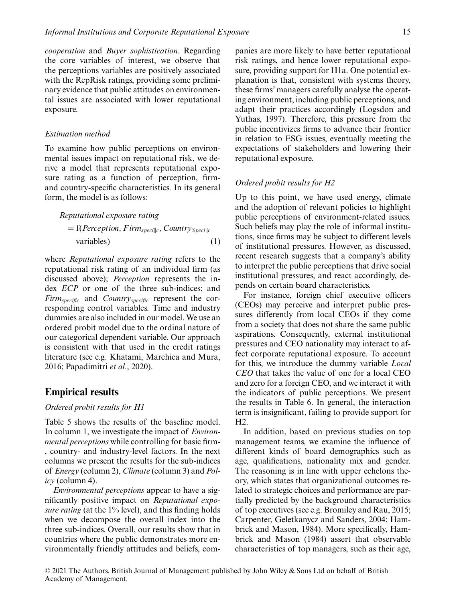*cooperation* and *Buyer sophistication*. Regarding the core variables of interest, we observe that the perceptions variables are positively associated with the RepRisk ratings, providing some preliminary evidence that public attitudes on environmental issues are associated with lower reputational exposure.

#### *Estimation method*

To examine how public perceptions on environmental issues impact on reputational risk, we derive a model that represents reputational exposure rating as a function of perception, firmand country-specific characteristics. In its general form, the model is as follows:

Reputational exposure rating

\n
$$
= \int (Perception, Firm_{speci||c}, Country_{peci||c})
$$
\nvariables)

\n(1)

where *Reputational exposure rating* refers to the reputational risk rating of an individual firm (as discussed above); *Perception* represents the index *ECP* or one of the three sub-indices; and *Firmspecific* and *Countryspecific* represent the corresponding control variables. Time and industry dummies are also included in our model. We use an ordered probit model due to the ordinal nature of our categorical dependent variable. Our approach is consistent with that used in the credit ratings literature (see e.g. Khatami, Marchica and Mura, 2016; Papadimitri *et al*., 2020).

### **Empirical results**

#### *Ordered probit results for H1*

Table 5 shows the results of the baseline model. In column 1, we investigate the impact of *Environmental perceptions* while controlling for basic firm- , country- and industry-level factors. In the next columns we present the results for the sub-indices of *Energy* (column 2), *Climate* (column 3) and *Policy* (column 4).

*Environmental perceptions* appear to have a significantly positive impact on *Reputational exposure rating* (at the 1% level), and this finding holds when we decompose the overall index into the three sub-indices. Overall, our results show that in countries where the public demonstrates more environmentally friendly attitudes and beliefs, companies are more likely to have better reputational risk ratings, and hence lower reputational exposure, providing support for H1a. One potential explanation is that, consistent with systems theory, these firms' managers carefully analyse the operating environment, including public perceptions, and adapt their practices accordingly (Logsdon and Yuthas, 1997). Therefore, this pressure from the public incentivizes firms to advance their frontier in relation to ESG issues, eventually meeting the expectations of stakeholders and lowering their reputational exposure.

#### *Ordered probit results for H2*

Up to this point, we have used energy, climate and the adoption of relevant policies to highlight public perceptions of environment-related issues. Such beliefs may play the role of informal institutions, since firms may be subject to different levels of institutional pressures. However, as discussed, recent research suggests that a company's ability to interpret the public perceptions that drive social institutional pressures, and react accordingly, depends on certain board characteristics.

For instance, foreign chief executive officers (CEOs) may perceive and interpret public pressures differently from local CEOs if they come from a society that does not share the same public aspirations. Consequently, external institutional pressures and CEO nationality may interact to affect corporate reputational exposure. To account for this, we introduce the dummy variable *Local CEO* that takes the value of one for a local CEO and zero for a foreign CEO, and we interact it with the indicators of public perceptions. We present the results in Table 6. In general, the interaction term is insignificant, failing to provide support for  $H2.$ 

In addition, based on previous studies on top management teams, we examine the influence of different kinds of board demographics such as age, qualifications, nationality mix and gender. The reasoning is in line with upper echelons theory, which states that organizational outcomes related to strategic choices and performance are partially predicted by the background characteristics of top executives (see e.g. Bromiley and Rau, 2015; Carpenter, Geletkanycz and Sanders, 2004; Hambrick and Mason, 1984). More specifically, Hambrick and Mason (1984) assert that observable characteristics of top managers, such as their age,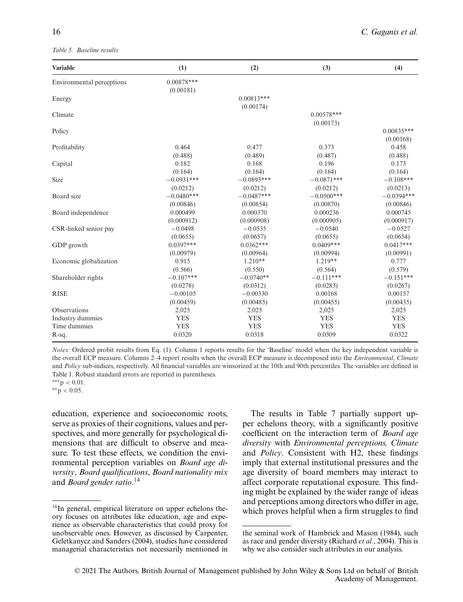#### *Table 5. Baseline results*

| <b>Variable</b>           | (1)          | (2)          | (3)          | (4)          |
|---------------------------|--------------|--------------|--------------|--------------|
| Environmental perceptions | $0.00878***$ |              |              |              |
|                           | (0.00181)    |              |              |              |
| Energy                    |              | $0.00813***$ |              |              |
|                           |              | (0.00174)    |              |              |
| Climate                   |              |              | $0.00578***$ |              |
|                           |              |              | (0.00173)    |              |
| Policy                    |              |              |              | $0.00835***$ |
|                           |              |              |              | (0.00168)    |
| Profitability             | 0.464        | 0.477        | 0.373        | 0.458        |
|                           | (0.488)      | (0.489)      | (0.487)      | (0.488)      |
| Capital                   | 0.182        | 0.168        | 0.196        | 0.173        |
|                           | (0.164)      | (0.164)      | (0.164)      | (0.164)      |
| Size                      | $-0.0931***$ | $-0.0893***$ | $-0.0871***$ | $-0.108***$  |
|                           | (0.0212)     | (0.0212)     | (0.0212)     | (0.0213)     |
| Board size                | $-0.0480***$ | $-0.0487***$ | $-0.0500***$ | $-0.0394***$ |
|                           | (0.00846)    | (0.00854)    | (0.00870)    | (0.00846)    |
| Board independence        | 0.000499     | 0.000370     | 0.000236     | 0.000745     |
|                           | (0.000912)   | (0.000908)   | (0.000905)   | (0.000917)   |
| CSR-linked senior pay     | $-0.0498$    | $-0.0535$    | $-0.0540$    | $-0.0527$    |
|                           | (0.0655)     | (0.0657)     | (0.0655)     | (0.0654)     |
| GDP growth                | $0.0397***$  | $0.0362***$  | $0.0409***$  | $0.0417***$  |
|                           | (0.00979)    | (0.00964)    | (0.00994)    | (0.00991)    |
| Economic globalization    | 0.915        | $1.210**$    | $1.219**$    | 0.777        |
|                           | (0.566)      | (0.550)      | (0.564)      | (0.579)      |
| Shareholder rights        | $-0.107***$  | $-0.0740**$  | $-0.111***$  | $-0.151***$  |
|                           | (0.0278)     | (0.0312)     | (0.0283)     | (0.0267)     |
| <b>RISE</b>               | $-0.00105$   | $-0.00330$   | 0.00168      | 0.00157      |
|                           | (0.00459)    | (0.00485)    | (0.00455)    | (0.00435)    |
| Observations              | 2,025        | 2,025        | 2,025        | 2,025        |
| Industry dummies          | <b>YES</b>   | <b>YES</b>   | <b>YES</b>   | <b>YES</b>   |
| Time dummies              | <b>YES</b>   | <b>YES</b>   | <b>YES</b>   | <b>YES</b>   |
| R-sq.                     | 0.0320       | 0.0318       | 0.0309       | 0.0322       |

*Notes:* Ordered probit results from Eq. (1). Column 1 reports results for the 'Baseline' model when the key independent variable is the overall ECP measure. Columns 2–4 report results when the overall ECP measure is decomposed into the *Environmental*, *Climate* and *Policy* sub-indices, respectively. All financial variables are winsorized at the 10th and 90th percentiles. The variables are defined in Table 1. Robust standard errors are reported in parentheses.

∗∗p *<* 0.05.

education, experience and socioeconomic roots, serve as proxies of their cognitions, values and perspectives, and more generally for psychological dimensions that are difficult to observe and measure. To test these effects, we condition the environmental perception variables on *Board age diversity*, *Board qualifications*, *Board nationality mix* and *Board gender ratio*. 14

The results in Table 7 partially support upper echelons theory, with a significantly positive coefficient on the interaction term of *Board age diversity* with *Environmental perceptions, Climate* and *Policy*. Consistent with H2, these findings imply that external institutional pressures and the age diversity of board members may interact to affect corporate reputational exposure. This finding might be explained by the wider range of ideas and perceptions among directors who differ in age, which proves helpful when a firm struggles to find

<sup>∗∗∗</sup>p *<* 0.01.

 $14$ In general, empirical literature on upper echelons theory focuses on attributes like education, age and experience as observable characteristics that could proxy for unobservable ones. However, as discussed by Carpenter, Geletkanycz and Sanders (2004), studies have considered managerial characteristics not necessarily mentioned in

the seminal work of Hambrick and Mason (1984), such as race and gender diversity (Richard *et al*., 2004). This is why we also consider such attributes in our analysis.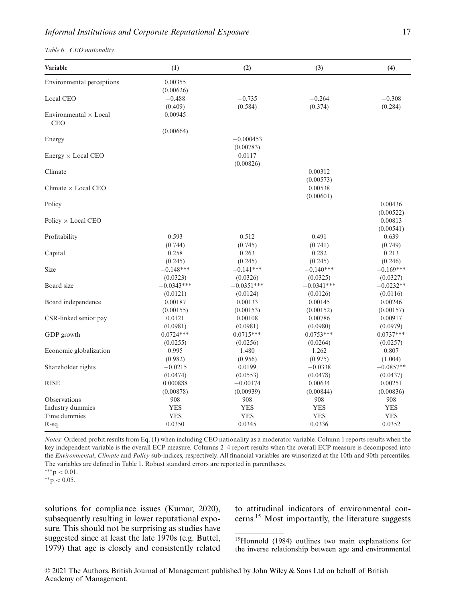*Table 6. CEO nationality*

| Variable                                   | (1)          | (2)          | (3)          | (4)         |
|--------------------------------------------|--------------|--------------|--------------|-------------|
| Environmental perceptions                  | 0.00355      |              |              |             |
|                                            | (0.00626)    |              |              |             |
| Local CEO                                  | $-0.488$     | $-0.735$     | $-0.264$     | $-0.308$    |
|                                            | (0.409)      | (0.584)      | (0.374)      | (0.284)     |
| Environmental $\times$ Local<br><b>CEO</b> | 0.00945      |              |              |             |
|                                            | (0.00664)    |              |              |             |
| Energy                                     |              | $-0.000453$  |              |             |
|                                            |              | (0.00783)    |              |             |
| Energy $\times$ Local CEO                  |              | 0.0117       |              |             |
|                                            |              | (0.00826)    |              |             |
| Climate                                    |              |              | 0.00312      |             |
|                                            |              |              | (0.00573)    |             |
| Climate $\times$ Local CEO                 |              |              | 0.00538      |             |
|                                            |              |              | (0.00601)    |             |
| Policy                                     |              |              |              | 0.00436     |
|                                            |              |              |              | (0.00522)   |
| Policy $\times$ Local CEO                  |              |              |              | 0.00813     |
|                                            |              |              |              | (0.00541)   |
| Profitability                              | 0.593        | 0.512        | 0.491        | 0.639       |
|                                            | (0.744)      | (0.745)      | (0.741)      | (0.749)     |
| Capital                                    | 0.258        | 0.263        | 0.282        | 0.213       |
|                                            | (0.245)      | (0.245)      | (0.245)      | (0.246)     |
| Size                                       | $-0.148***$  | $-0.141***$  | $-0.140***$  | $-0.169***$ |
|                                            | (0.0323)     | (0.0326)     | (0.0325)     | (0.0327)    |
| Board size                                 | $-0.0343***$ | $-0.0351***$ | $-0.0341***$ | $-0.0232**$ |
|                                            | (0.0121)     | (0.0124)     | (0.0126)     | (0.0116)    |
| Board independence                         | 0.00187      | 0.00133      | 0.00145      | 0.00246     |
|                                            | (0.00155)    | (0.00153)    | (0.00152)    | (0.00157)   |
| CSR-linked senior pay                      | 0.0121       | 0.00108      | 0.00786      | 0.00917     |
|                                            | (0.0981)     | (0.0981)     | (0.0980)     | (0.0979)    |
| GDP growth                                 | $0.0724***$  | $0.0715***$  | $0.0753***$  | $0.0737***$ |
|                                            | (0.0255)     | (0.0256)     | (0.0264)     | (0.0257)    |
| Economic globalization                     | 0.995        | 1.480        | 1.262        | 0.807       |
|                                            | (0.982)      | (0.956)      | (0.975)      | (1.004)     |
| Shareholder rights                         | $-0.0215$    | 0.0199       | $-0.0338$    | $-0.0857**$ |
|                                            | (0.0474)     | (0.0553)     | (0.0478)     | (0.0437)    |
| <b>RISE</b>                                | 0.000888     | $-0.00174$   | 0.00634      | 0.00251     |
|                                            | (0.00878)    | (0.00939)    | (0.00844)    | (0.00836)   |
| Observations                               | 908          | 908          | 908          | 908         |
| Industry dummies                           | YES          | <b>YES</b>   | <b>YES</b>   | <b>YES</b>  |
| Time dummies                               | <b>YES</b>   | <b>YES</b>   | <b>YES</b>   | <b>YES</b>  |
| R-sq.                                      | 0.0350       | 0.0345       | 0.0336       | 0.0352      |

*Notes:* Ordered probit results from Eq. (1) when including CEO nationality as a moderator variable. Column 1 reports results when the key independent variable is the overall ECP measure. Columns 2–4 report results when the overall ECP measure is decomposed into the *Environmental*, *Climate* and *Policy* sub-indices, respectively. All financial variables are winsorized at the 10th and 90th percentiles. The variables are defined in Table 1. Robust standard errors are reported in parentheses.

∗∗∗p *<* 0.01.

∗∗p *<* 0.05.

solutions for compliance issues (Kumar, 2020), subsequently resulting in lower reputational exposure. This should not be surprising as studies have suggested since at least the late 1970s (e.g. Buttel, 1979) that age is closely and consistently related

to attitudinal indicators of environmental concerns.15 Most importantly, the literature suggests

<sup>&</sup>lt;sup>15</sup>Honnold (1984) outlines two main explanations for the inverse relationship between age and environmental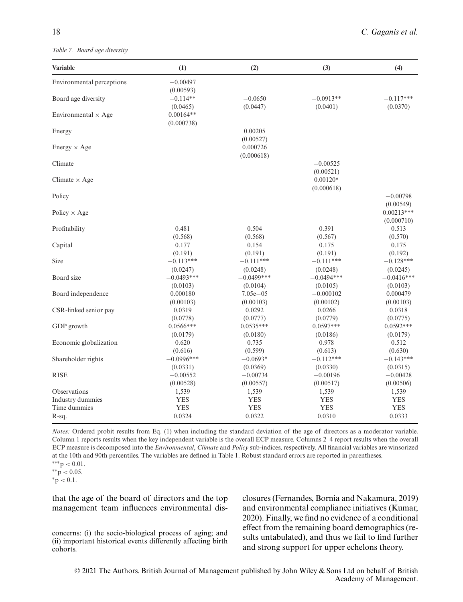*Table 7. Board age diversity*

| <b>Variable</b>            | (1)          | (2)          | (3)          | (4)          |
|----------------------------|--------------|--------------|--------------|--------------|
| Environmental perceptions  | $-0.00497$   |              |              |              |
|                            | (0.00593)    |              |              |              |
| Board age diversity        | $-0.114**$   | $-0.0650$    | $-0.0913**$  | $-0.117***$  |
|                            | (0.0465)     | (0.0447)     | (0.0401)     | (0.0370)     |
| Environmental $\times$ Age | $0.00164**$  |              |              |              |
|                            | (0.000738)   |              |              |              |
| Energy                     |              | 0.00205      |              |              |
|                            |              | (0.00527)    |              |              |
| $Energy \times Age$        |              | 0.000726     |              |              |
|                            |              | (0.000618)   |              |              |
| Climate                    |              |              | $-0.00525$   |              |
|                            |              |              | (0.00521)    |              |
| Climate $\times$ Age       |              |              | $0.00120*$   |              |
|                            |              |              | (0.000618)   |              |
| Policy                     |              |              |              | $-0.00798$   |
|                            |              |              |              | (0.00549)    |
| Policy $\times$ Age        |              |              |              | $0.00213***$ |
|                            |              |              |              | (0.000710)   |
| Profitability              | 0.481        | 0.504        | 0.391        | 0.513        |
|                            | (0.568)      | (0.568)      | (0.567)      | (0.570)      |
| Capital                    | 0.177        | 0.154        | 0.175        | 0.175        |
|                            | (0.191)      | (0.191)      | (0.191)      | (0.192)      |
| Size                       | $-0.113***$  | $-0.111***$  | $-0.111***$  | $-0.128***$  |
|                            | (0.0247)     | (0.0248)     | (0.0248)     | (0.0245)     |
| Board size                 | $-0.0493***$ | $-0.0499***$ | $-0.0494***$ | $-0.0416***$ |
|                            | (0.0103)     | (0.0104)     | (0.0105)     | (0.0103)     |
| Board independence         | 0.000180     | $7.05e - 05$ | $-0.000102$  | 0.000479     |
|                            | (0.00103)    | (0.00103)    | (0.00102)    | (0.00103)    |
| CSR-linked senior pay      | 0.0319       | 0.0292       | 0.0266       | 0.0318       |
|                            | (0.0778)     | (0.0777)     | (0.0779)     | (0.0775)     |
| GDP growth                 | $0.0566***$  | $0.0535***$  | $0.0597***$  | $0.0592***$  |
|                            | (0.0179)     | (0.0180)     | (0.0186)     | (0.0179)     |
| Economic globalization     | 0.620        | 0.735        | 0.978        | 0.512        |
|                            | (0.616)      | (0.599)      | (0.613)      | (0.630)      |
| Shareholder rights         | $-0.0996***$ | $-0.0693*$   | $-0.112***$  | $-0.143***$  |
|                            | (0.0331)     | (0.0369)     | (0.0330)     | (0.0315)     |
| <b>RISE</b>                | $-0.00552$   | $-0.00734$   | $-0.00196$   | $-0.00428$   |
|                            | (0.00528)    | (0.00557)    | (0.00517)    | (0.00506)    |
| Observations               | 1,539        | 1,539        | 1,539        | 1,539        |
| Industry dummies           | <b>YES</b>   | <b>YES</b>   | <b>YES</b>   | <b>YES</b>   |
| Time dummies               | <b>YES</b>   | <b>YES</b>   | <b>YES</b>   | <b>YES</b>   |
| R-sq.                      | 0.0324       | 0.0322       | 0.0310       | 0.0333       |

*Notes:* Ordered probit results from Eq. (1) when including the standard deviation of the age of directors as a moderator variable. Column 1 reports results when the key independent variable is the overall ECP measure. Columns 2–4 report results when the overall ECP measure is decomposed into the *Environmental*, *Climate* and *Policy* sub-indices, respectively. All financial variables are winsorized at the 10th and 90th percentiles. The variables are defined in Table 1. Robust standard errors are reported in parentheses.

∗p *<* 0.1.

that the age of the board of directors and the top management team influences environmental disclosures (Fernandes, Bornia and Nakamura, 2019) and environmental compliance initiatives (Kumar, 2020). Finally, we find no evidence of a conditional effect from the remaining board demographics (results untabulated), and thus we fail to find further and strong support for upper echelons theory.

<sup>∗∗∗</sup>p *<* 0.01. ∗∗p *<* 0.05.

concerns: (i) the socio-biological process of aging; and (ii) important historical events differently affecting birth cohorts.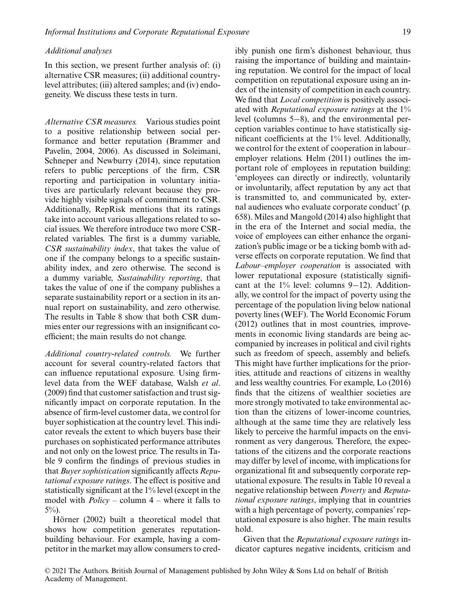#### *Additional analyses*

In this section, we present further analysis of: (i) alternative CSR measures; (ii) additional countrylevel attributes; (iii) altered samples; and (iv) endogeneity. We discuss these tests in turn.

*Alternative CSR measures.* Various studies point to a positive relationship between social performance and better reputation (Brammer and Pavelin, 2004, 2006). As discussed in Soleimani, Schneper and Newburry (2014), since reputation refers to public perceptions of the firm, CSR reporting and participation in voluntary initiatives are particularly relevant because they provide highly visible signals of commitment to CSR. Additionally, RepRisk mentions that its ratings take into account various allegations related to social issues. We therefore introduce two more CSRrelated variables. The first is a dummy variable, *CSR sustainability index*, that takes the value of one if the company belongs to a specific sustainability index, and zero otherwise. The second is a dummy variable, *Sustainability reporting*, that takes the value of one if the company publishes a separate sustainability report or a section in its annual report on sustainability, and zero otherwise. The results in Table 8 show that both CSR dummies enter our regressions with an insignificant coefficient; the main results do not change.

*Additional country-related controls.* We further account for several country-related factors that can influence reputational exposure. Using firmlevel data from the WEF database, Walsh *et al*. (2009) find that customer satisfaction and trust significantly impact on corporate reputation. In the absence of firm-level customer data, we control for buyer sophistication at the country level. This indicator reveals the extent to which buyers base their purchases on sophisticated performance attributes and not only on the lowest price. The results in Table 9 confirm the findings of previous studies in that *Buyer sophistication* significantly affects *Reputational exposure ratings*. The effect is positive and statistically significant at the 1% level (except in the model with *Policy* – column 4 – where it falls to 5%).

Hörner (2002) built a theoretical model that shows how competition generates reputationbuilding behaviour. For example, having a competitor in the market may allow consumers to credibly punish one firm's dishonest behaviour, thus raising the importance of building and maintaining reputation. We control for the impact of local competition on reputational exposure using an index of the intensity of competition in each country. We find that *Local competition* is positively associated with *Reputational exposure ratings* at the 1% level (columns 5−8), and the environmental perception variables continue to have statistically significant coefficients at the 1% level. Additionally, we control for the extent of cooperation in labour– employer relations. Helm (2011) outlines the important role of employees in reputation building: 'employees can directly or indirectly, voluntarily or involuntarily, affect reputation by any act that is transmitted to, and communicated by, external audiences who evaluate corporate conduct' (p. 658). Miles and Mangold (2014) also highlight that in the era of the Internet and social media, the voice of employees can either enhance the organization's public image or be a ticking bomb with adverse effects on corporate reputation. We find that *Labour–employer cooperation* is associated with lower reputational exposure (statistically significant at the 1% level: columns 9−12). Additionally, we control for the impact of poverty using the percentage of the population living below national poverty lines (WEF). The World Economic Forum (2012) outlines that in most countries, improvements in economic living standards are being accompanied by increases in political and civil rights such as freedom of speech, assembly and beliefs. This might have further implications for the priorities, attitude and reactions of citizens in wealthy and less wealthy countries. For example, Lo (2016) finds that the citizens of wealthier societies are more strongly motivated to take environmental action than the citizens of lower-income countries, although at the same time they are relatively less likely to perceive the harmful impacts on the environment as very dangerous. Therefore, the expectations of the citizens and the corporate reactions may differ by level of income, with implications for organizational fit and subsequently corporate reputational exposure. The results in Table 10 reveal a negative relationship between *Poverty* and *Reputational exposure ratings*, implying that in countries with a high percentage of poverty, companies' reputational exposure is also higher. The main results hold.

Given that the *Reputational exposure ratings* indicator captures negative incidents, criticism and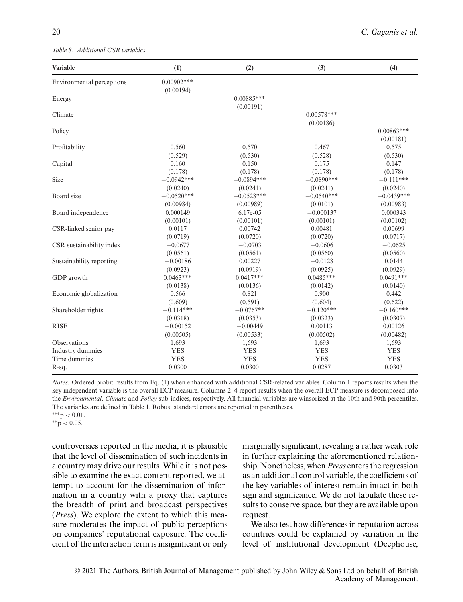#### *Table 8. Additional CSR variables*

| <b>Variable</b>           | (1)                       | (2)                       | (3)                       | (4)                       |
|---------------------------|---------------------------|---------------------------|---------------------------|---------------------------|
| Environmental perceptions | $0.00902***$<br>(0.00194) |                           |                           |                           |
| Energy                    |                           | $0.00885***$<br>(0.00191) |                           |                           |
| Climate                   |                           |                           | $0.00578***$<br>(0.00186) |                           |
| Policy                    |                           |                           |                           | $0.00863***$<br>(0.00181) |
| Profitability             | 0.560                     | 0.570                     | 0.467                     | 0.575                     |
|                           | (0.529)                   | (0.530)                   | (0.528)                   | (0.530)                   |
| Capital                   | 0.160                     | 0.150                     | 0.175                     | 0.147                     |
|                           | (0.178)                   | (0.178)                   | (0.178)                   | (0.178)                   |
| Size                      | $-0.0942***$              | $-0.0894***$              | $-0.0890***$              | $-0.111***$               |
|                           | (0.0240)                  | (0.0241)                  | (0.0241)                  | (0.0240)                  |
| Board size                | $-0.0520***$              | $-0.0528***$              | $-0.0540***$              | $-0.0439***$              |
|                           | (0.00984)                 | (0.00989)                 | (0.0101)                  | (0.00983)                 |
| Board independence        | 0.000149                  | 6.17e-05                  | $-0.000137$               | 0.000343                  |
|                           | (0.00101)                 | (0.00101)                 | (0.00101)                 | (0.00102)                 |
| CSR-linked senior pay     | 0.0117                    | 0.00742                   | 0.00481                   | 0.00699                   |
|                           | (0.0719)                  | (0.0720)                  | (0.0720)                  | (0.0717)                  |
| CSR sustainability index  | $-0.0677$                 | $-0.0703$                 | $-0.0606$                 | $-0.0625$                 |
|                           | (0.0561)                  | (0.0561)                  | (0.0560)                  | (0.0560)                  |
| Sustainability reporting  | $-0.00186$                | 0.00227                   | $-0.0128$                 | 0.0144                    |
|                           | (0.0923)                  | (0.0919)                  | (0.0925)                  | (0.0929)                  |
| GDP growth                | $0.0463***$               | $0.0417***$               | $0.0485***$               | $0.0491***$               |
|                           | (0.0138)                  | (0.0136)                  | (0.0142)                  | (0.0140)                  |
| Economic globalization    | 0.566                     | 0.821                     | 0.900                     | 0.442                     |
|                           | (0.609)                   | (0.591)                   | (0.604)                   | (0.622)                   |
| Shareholder rights        | $-0.114***$               | $-0.0767**$               | $-0.120***$               | $-0.160***$               |
|                           | (0.0318)                  | (0.0353)                  | (0.0323)                  | (0.0307)                  |
| <b>RISE</b>               | $-0.00152$                | $-0.00449$                | 0.00113                   | 0.00126                   |
|                           | (0.00505)                 | (0.00533)                 | (0.00502)                 | (0.00482)                 |
| Observations              | 1,693                     | 1,693                     | 1,693                     | 1,693                     |
| Industry dummies          | <b>YES</b>                | <b>YES</b>                | <b>YES</b>                | <b>YES</b>                |
| Time dummies              | <b>YES</b>                | <b>YES</b>                | <b>YES</b>                | <b>YES</b>                |
| R-sq.                     | 0.0300                    | 0.0300                    | 0.0287                    | 0.0303                    |

*Notes:* Ordered probit results from Eq. (1) when enhanced with additional CSR-related variables. Column 1 reports results when the key independent variable is the overall ECP measure. Columns 2–4 report results when the overall ECP measure is decomposed into the *Environmental*, *Climate* and *Policy* sub-indices, respectively. All financial variables are winsorized at the 10th and 90th percentiles. The variables are defined in Table 1. Robust standard errors are reported in parentheses. ∗∗∗p *<* 0.01.

∗∗p *<* 0.05.

controversies reported in the media, it is plausible that the level of dissemination of such incidents in a country may drive our results. While it is not possible to examine the exact content reported, we attempt to account for the dissemination of information in a country with a proxy that captures the breadth of print and broadcast perspectives (*Press*). We explore the extent to which this measure moderates the impact of public perceptions on companies' reputational exposure. The coefficient of the interaction term is insignificant or only

marginally significant, revealing a rather weak role in further explaining the aforementioned relationship. Nonetheless, when *Press* enters the regression as an additional control variable, the coefficients of the key variables of interest remain intact in both sign and significance. We do not tabulate these results to conserve space, but they are available upon request.

We also test how differences in reputation across countries could be explained by variation in the level of institutional development (Deephouse,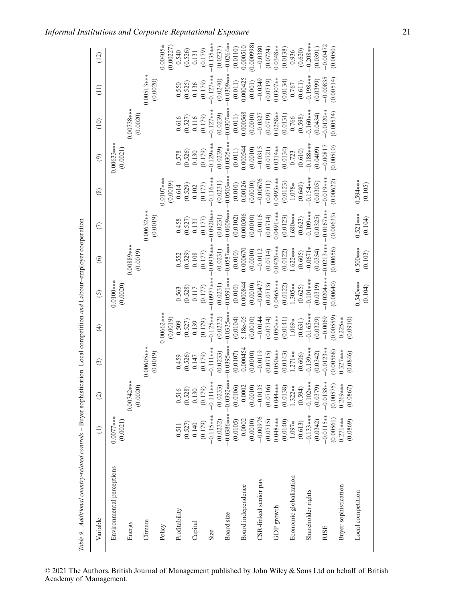| Variable                  | $\widehat{\Xi}$         | $\odot$      | $\odot$                 | $\widehat{\mathfrak{t}}$ | $\odot$                 | $\odot$       | $\epsilon$   | $\circledS$             | $\odot$                                                | (10)               | $\left(11\right)$ | (12)                  |
|---------------------------|-------------------------|--------------|-------------------------|--------------------------|-------------------------|---------------|--------------|-------------------------|--------------------------------------------------------|--------------------|-------------------|-----------------------|
| Environmental perceptions | $0.0077***$<br>(0.0021) |              |                         |                          | $0.0100***$<br>(0.0020) |               |              |                         | $0.00633***$<br>(0.0021)                               |                    |                   |                       |
| Energy                    |                         | $0.00742***$ |                         |                          |                         | 0.00889***    |              |                         |                                                        | $0.00738***$       |                   |                       |
| Climate                   |                         | (0.0020)     | 0.00605***              |                          |                         | (0.0019)      | 0.00632***   |                         |                                                        | (0.0020)           | $0.00513***$      |                       |
|                           |                         |              | (0.0019)                |                          |                         |               | (0.0019)     |                         |                                                        |                    | (0.0020)          |                       |
| Policy                    |                         |              |                         | 0.00662***<br>(0.0019)   |                         |               |              | $0.0107***$<br>(0.0019) |                                                        |                    |                   | 0.00405*<br>(0.00227) |
| Profitability             | 0.511                   | 0.516        | 0.459                   | 0.509                    | 0.563                   | 0.552         | 0.458        | 0.614                   |                                                        | 0.616              | 0.550             | 0.540                 |
|                           | (0.527)                 | (0.528)      | (0.526)                 | (0.527)                  | (0.528)                 | (0.529)       | (0.527)      | (0.529)                 | $\begin{array}{c} 0.578 \\ 0.526 \end{array}$<br>0.130 | $(0.527)$<br>0.116 | (0.525)           | (0.526)               |
| Capital                   | 0.140                   | 0.130        | 0.147                   | 0.139                    | 0.117                   | 0.108         | 0.131        | 0.102                   |                                                        |                    | 0.136             | 0.131                 |
|                           | (0.179)                 | (0.179)      | (0.179)                 | (0.179)                  | (0.177)                 | (0.177)       | (0.177)      | (0.177)                 | (0.179)                                                | (0.179)            | (0.179)           | (0.179)               |
| Size                      | $-0.115***$             | $-0.111***$  | $-0.111***$             | $-0.125***$              | $0.0977**$              | $-0.0938**$   | $0.0920**$   | $-0.116***$             | $-0.129***$                                            | $-0.127***$        | $-0.127**$        | $-0.135***$           |
|                           | (0.0232)                | (0.0233)     | (0.0233)                | (0.0232)                 | (0.0231)                | (0.0231)      | (0.0231)     | (0.0231)                | (0.0239)                                               | (0.0239)           | (0.0240)          | (0.0237)              |
| Board size                | $-0.0386***$            | $-0.0392**$  | $-0.0395**$             | $0.0335**$               | $-0.0591**$             | $-0.0587$ *** | $-0.0609**$  | $-0.0503**$             | $0.0305**$                                             | $0.0307***$        | $0.0309***$       | $-0.0264**$           |
|                           | (0.0105)                | (0.0106)     | $(0.0107)$<br>-0.000454 | (0.0104)                 | (0.010)                 | (0.010)       | (0.0102)     | (0.010)                 | (0.011)                                                | (0.011)            | (0.011)           | (0.0110)              |
| Board independence        | $-0.0002$               | $-0.0002$    |                         | 5.18e-05                 | 0.000844                | 0.00067       | 0.000506     | 0.00126                 | 0.000544                                               | 0.000568           | 0.000425          | 0.000510              |
|                           | (0.0010)                | (0.0010)     | (0.0010)                | (0.0010)                 | (0.0010)                | (0.0010)      | (0.0010)     | (0.0010)                | (0.0010)                                               | (0.0010)           | (0.001)           | (0.00098)             |
| CSR-linked senior pay     | $-0.00976$              | $-0.0135$    | $-0.0119$               | $-0.0144$                | $-0.00477$              | $-0.0112$     | $-0.0116$    | $-0.00676$              | $-0.0315$                                              | $-0.0327$          | $-0.0349$         | $-0.0380$             |
|                           | (0.0715)                | (0.0716)     | (0.0715)                | (0.0714)                 | (0.0713)                | (0.0714)      | (0.0714)     | (0.0711)                | (0.0721)                                               | (0.0719)           | (0.0719)          | (0.0724)              |
| GDP growth                | $0.048***$              | $0.04***$    | $0.050***$              | $0.050***$               | $0.0465***$             | $0.0420**$    | $0.0491***$  | $0.0493***$             | $0.0314**$                                             | $0.0258**$         | $0.0307**$        | $0.0348**$            |
|                           | (0.0140)                | (0.0138)     | (0.0143)                | (0.0141)                 | (0.0122)                | (0.0122)      | (0.0123)     | (0.0123)                | (0.0134)                                               | (0.0131)           | (0.0134)          | (0.0138)              |
| Economic globalization    | 1.097*                  | $1.322**$    | $1.271**$               | $1.069*$                 | $1.305**$               | $1.622***$    | $.680***$    | $1.078*$                | 0.723                                                  | 0.766              | 0.767             | 0.936                 |
|                           | (0.613)                 | (0.594)      | (0.606)                 | (0.631)                  | (0.625)                 | (0.605)       | (0.623)      | (0.640)                 | (0.610)                                                | (0.598)            | (0.611)           | (0.620)               |
| Shareholder rights        | $-0.133***$             | $-0.102***$  | $-0.139***$             | $0.165***$               | $-0.101***$             | $-0.0671*$    | $-0.109***$  | $-0.154***$             | $-0.188***$                                            | $-0.160***$        | $-0.198***$       | $-0.208**$            |
|                           | (0.0342)                | (0.0379)     | (0.0342)                | (0.0329)                 | (0.0319)                | (0.0354)      | (0.0325)     | (0.0305)                | (0.0409)                                               | (0.0434)           | (0.0399)          | (0.0391)              |
| <b>RISE</b>               | $-0.0115**$             | $-0.0138**$  | $-0.0123**$             | $-0.0069$                | $0.0204***$             | $-0.0213***$  | $-0.0167***$ | $-0.019***$             | $-0.00817$                                             | $-0.0120**$        | $-0.00835$        | $-0.00472$            |
|                           | (0.00561)               | (0.00575)    | (0.00568)               | (0.00559)                | (0.00640)               | (0.00656)     | (0.00633)    | (0.00622)               | (0.00510)                                              | (0.00534)          | (0.00514)         | (0.0050)              |
| Buyer sophistication      | $0.271***$              | $0.269***$   | $0.327***$              | $0.225**$                |                         |               |              |                         |                                                        |                    |                   |                       |
|                           | (0.0869)                | (0.0867)     | (0.0846)                | (0.0910)                 |                         |               |              |                         |                                                        |                    |                   |                       |
| Local competition         |                         |              |                         |                          | 0.540***                | $0.500***$    | $0.521***$   | $0.594***$              |                                                        |                    |                   |                       |
|                           |                         |              |                         |                          | (0.104)                 | (0.103)       | (0.104)      | (0.105)                 |                                                        |                    |                   |                       |

#### © 2021 The Authors. British Journal of Management published by John Wiley & Sons Ltd on behalf of British Academy of Management.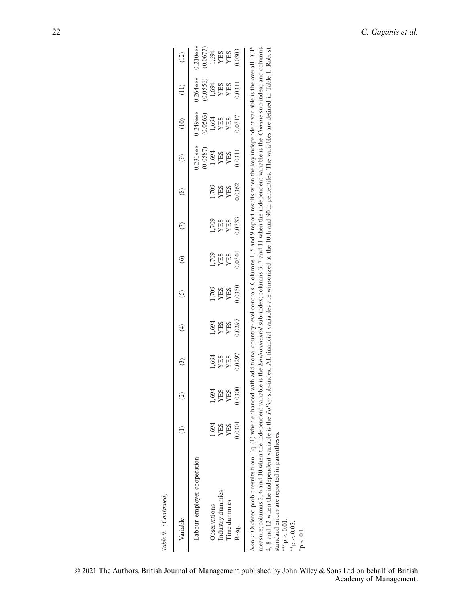| Table 9. (Continued)                                                                                                                                                                                                                                                                                                                                                                                                                                                                                                                                                                                                                                                                         |        |         |                   |               |         |         |            |                |                        |                        |                              |                                                                                                                                       |
|----------------------------------------------------------------------------------------------------------------------------------------------------------------------------------------------------------------------------------------------------------------------------------------------------------------------------------------------------------------------------------------------------------------------------------------------------------------------------------------------------------------------------------------------------------------------------------------------------------------------------------------------------------------------------------------------|--------|---------|-------------------|---------------|---------|---------|------------|----------------|------------------------|------------------------|------------------------------|---------------------------------------------------------------------------------------------------------------------------------------|
| Variable                                                                                                                                                                                                                                                                                                                                                                                                                                                                                                                                                                                                                                                                                     |        | $\odot$ | $\widehat{\odot}$ | $\widehat{f}$ | $\odot$ | $\circ$ | $\epsilon$ | $\circledcirc$ | $\circledcirc$         | (10)                   | $\left( \frac{1}{2} \right)$ | (12)                                                                                                                                  |
| Labour-employer cooperation                                                                                                                                                                                                                                                                                                                                                                                                                                                                                                                                                                                                                                                                  |        |         |                   |               |         |         |            |                | $0.231***$<br>(0.0587) | $0.249***$<br>(0.0563) | $0.264***$<br>(0.0556)       | $0.210***$                                                                                                                            |
| Observations                                                                                                                                                                                                                                                                                                                                                                                                                                                                                                                                                                                                                                                                                 | 1,694  | 1,694   | 1,694             | 1,694         | 1,709   | 1,709   | 1,709      | 1,709          | 1,694                  | 1,694                  | 1,694                        | $\begin{array}{c} (0.0677)\nonumber\\ 1,694\nonumber\\ \text{YES}\nonumber\\ \text{YES}\nonumber\\ \text{YES}\nonumber\\ \end{array}$ |
| Industry dummies                                                                                                                                                                                                                                                                                                                                                                                                                                                                                                                                                                                                                                                                             | YES    | YES     | YES               | YES           | YES     | YES     | YES        | YES            | YES                    | YES                    | YES                          |                                                                                                                                       |
| Time dummies                                                                                                                                                                                                                                                                                                                                                                                                                                                                                                                                                                                                                                                                                 | YES    | YES     | YES               | YES           | YES     | YES     | YES        | YES            | YES                    | YES                    | YES                          |                                                                                                                                       |
| R-sq.                                                                                                                                                                                                                                                                                                                                                                                                                                                                                                                                                                                                                                                                                        | 0.0301 | 0.0300  | 0.0297            | 0.0297        | 0.0350  | 0.0344  | 0.0333     | 0.0362         | 0.0311                 | 0.0317                 | 0.0311                       | 0.303                                                                                                                                 |
| Notes: Ordered probit results from Eq. (1) when enhanced with additional country-level controls. Columns 1, 5 and 9 report results when the key independent variable is the overall ECP<br>measure; columns 2, 6 and 10 when the independent variable is the <i>Environmental</i> sub-index; columns 3, 7 and 11 when the independent variable is the <i>Climate</i> sub-index; and columns<br>4, 8 and 12 when the independent variable is the <i>Policy</i> sub-index. All financial variables are winsorized at the 10th and 90th percentiles. The variables are defined in Table 1. Robust<br>standard errors are reported in parentheses.<br>***p < 0.01.<br>**p < 0.05.<br>$p < 0.1$ . |        |         |                   |               |         |         |            |                |                        |                        |                              |                                                                                                                                       |
|                                                                                                                                                                                                                                                                                                                                                                                                                                                                                                                                                                                                                                                                                              |        |         |                   |               |         |         |            |                |                        |                        |                              |                                                                                                                                       |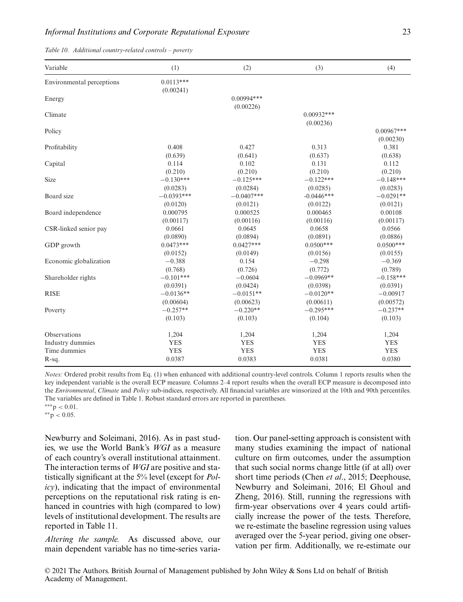| Variable                  | (1)                      | (2)          | (3)                       | (4)                       |
|---------------------------|--------------------------|--------------|---------------------------|---------------------------|
| Environmental perceptions | $0.0113***$<br>(0.00241) |              |                           |                           |
| Energy                    |                          | $0.00994***$ |                           |                           |
| Climate                   |                          | (0.00226)    | $0.00932***$<br>(0.00236) |                           |
| Policy                    |                          |              |                           | $0.00967***$<br>(0.00230) |
| Profitability             | 0.408                    | 0.427        | 0.313                     | 0.381                     |
|                           | (0.639)                  | (0.641)      | (0.637)                   | (0.638)                   |
| Capital                   | 0.114                    | 0.102        | 0.131                     | 0.112                     |
|                           | (0.210)                  | (0.210)      | (0.210)                   | (0.210)                   |
| <b>Size</b>               | $-0.130***$              | $-0.125***$  | $-0.122***$               | $-0.148***$               |
|                           | (0.0283)                 | (0.0284)     | (0.0285)                  | (0.0283)                  |
| Board size                | $-0.0393***$             | $-0.0407***$ | $-0.0446***$              | $-0.0291**$               |
|                           | (0.0120)                 | (0.0121)     | (0.0122)                  | (0.0121)                  |
| Board independence        | 0.000795                 | 0.000525     | 0.000465                  | 0.00108                   |
|                           | (0.00117)                | (0.00116)    | (0.00116)                 | (0.00117)                 |
| CSR-linked senior pay     | 0.0661                   | 0.0645       | 0.0658                    | 0.0566                    |
|                           | (0.0890)                 | (0.0894)     | (0.0891)                  | (0.0886)                  |
| GDP growth                | $0.0473***$              | $0.0427***$  | $0.0500***$               | $0.0500***$               |
|                           | (0.0152)                 | (0.0149)     | (0.0156)                  | (0.0155)                  |
| Economic globalization    | $-0.388$                 | 0.154        | $-0.298$                  | $-0.369$                  |
|                           | (0.768)                  | (0.726)      | (0.772)                   | (0.789)                   |
| Shareholder rights        | $-0.101***$              | $-0.0604$    | $-0.0969**$               | $-0.158***$               |
|                           | (0.0391)                 | (0.0424)     | (0.0398)                  | (0.0391)                  |
| <b>RISE</b>               | $-0.0136**$              | $-0.0151**$  | $-0.0120**$               | $-0.00917$                |
|                           | (0.00604)                | (0.00623)    | (0.00611)                 | (0.00572)                 |
| Poverty                   | $-0.257**$               | $-0.220**$   | $-0.295***$               | $-0.237**$                |
|                           | (0.103)                  | (0.103)      | (0.104)                   | (0.103)                   |
| <b>Observations</b>       | 1,204                    | 1,204        | 1,204                     | 1,204                     |
| Industry dummies          | <b>YES</b>               | <b>YES</b>   | <b>YES</b>                | <b>YES</b>                |
| Time dummies              | <b>YES</b>               | <b>YES</b>   | <b>YES</b>                | <b>YES</b>                |
| R-sq.                     | 0.0387                   | 0.0383       | 0.0381                    | 0.0380                    |

*Notes:* Ordered probit results from Eq. (1) when enhanced with additional country-level controls. Column 1 reports results when the key independent variable is the overall ECP measure. Columns 2–4 report results when the overall ECP measure is decomposed into the *Environmental*, *Climate* and *Policy* sub-indices, respectively. All financial variables are winsorized at the 10th and 90th percentiles. The variables are defined in Table 1. Robust standard errors are reported in parentheses.

∗∗∗p *<* 0.01. ∗∗p *<* 0.05.

Newburry and Soleimani, 2016). As in past studies, we use the World Bank's *WGI* as a measure of each country's overall institutional attainment. The interaction terms of *WGI* are positive and statistically significant at the 5% level (except for *Policy*), indicating that the impact of environmental perceptions on the reputational risk rating is enhanced in countries with high (compared to low) levels of institutional development. The results are reported in Table 11.

*Altering the sample.* As discussed above, our main dependent variable has no time-series variation. Our panel-setting approach is consistent with many studies examining the impact of national culture on firm outcomes, under the assumption that such social norms change little (if at all) over short time periods (Chen *et al*., 2015; Deephouse, Newburry and Soleimani, 2016; El Ghoul and Zheng, 2016). Still, running the regressions with firm-year observations over 4 years could artificially increase the power of the tests. Therefore, we re-estimate the baseline regression using values averaged over the 5-year period, giving one observation per firm. Additionally, we re-estimate our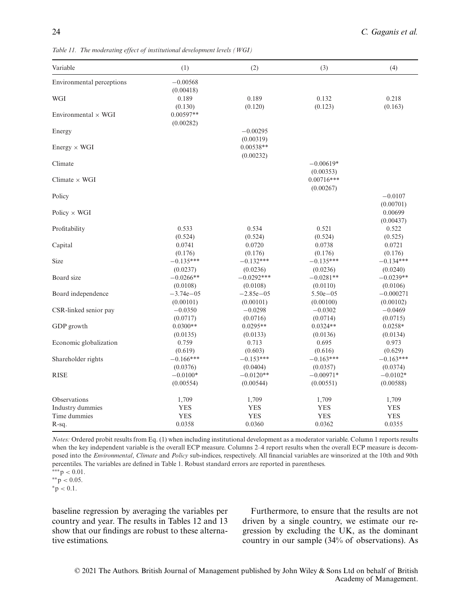| Variable                   | (1)                    | (2)              | (3)          | (4)               |
|----------------------------|------------------------|------------------|--------------|-------------------|
| Environmental perceptions  | $-0.00568$             |                  |              |                   |
|                            | (0.00418)              |                  |              |                   |
| WGI                        | 0.189                  | 0.189            | 0.132        | 0.218             |
| Environmental $\times$ WGI | (0.130)<br>$0.00597**$ | (0.120)          | (0.123)      | (0.163)           |
|                            | (0.00282)              |                  |              |                   |
| Energy                     |                        | $-0.00295$       |              |                   |
|                            |                        | (0.00319)        |              |                   |
| $Energy \times WGI$        |                        | $0.00538**$      |              |                   |
|                            |                        | (0.00232)        |              |                   |
| Climate                    |                        |                  | $-0.00619*$  |                   |
|                            |                        |                  | (0.00353)    |                   |
| Climate $\times$ WGI       |                        |                  | $0.00716***$ |                   |
|                            |                        |                  | (0.00267)    |                   |
| Policy                     |                        |                  |              | $-0.0107$         |
|                            |                        |                  |              | (0.00701)         |
| Policy $\times$ WGI        |                        |                  |              | 0.00699           |
|                            | 0.533                  |                  | 0.521        | (0.00437)         |
| Profitability              | (0.524)                | 0.534<br>(0.524) | (0.524)      | 0.522             |
| Capital                    | 0.0741                 | 0.0720           | 0.0738       | (0.525)<br>0.0721 |
|                            | (0.176)                | (0.176)          | (0.176)      | (0.176)           |
| Size                       | $-0.135***$            | $-0.132***$      | $-0.135***$  | $-0.134***$       |
|                            | (0.0237)               | (0.0236)         | (0.0236)     | (0.0240)          |
| Board size                 | $-0.0266**$            | $-0.0292***$     | $-0.0281**$  | $-0.0239**$       |
|                            | (0.0108)               | (0.0108)         | (0.0110)     | (0.0106)          |
| Board independence         | $-3.74e - 05$          | $-2.85e - 05$    | $5.50e - 05$ | $-0.000271$       |
|                            | (0.00101)              | (0.00101)        | (0.00100)    | (0.00102)         |
| CSR-linked senior pay      | $-0.0350$              | $-0.0298$        | $-0.0302$    | $-0.0469$         |
|                            | (0.0717)               | (0.0716)         | (0.0714)     | (0.0715)          |
| GDP growth                 | $0.0300**$             | $0.0295**$       | $0.0324**$   | $0.0258*$         |
|                            | (0.0135)               | (0.0133)         | (0.0136)     | (0.0134)          |
| Economic globalization     | 0.759                  | 0.713            | 0.695        | 0.973             |
|                            | (0.619)                | (0.603)          | (0.616)      | (0.629)           |
| Shareholder rights         | $-0.166***$            | $-0.153***$      | $-0.163***$  | $-0.163***$       |
|                            | (0.0376)               | (0.0404)         | (0.0357)     | (0.0374)          |
| <b>RISE</b>                | $-0.0100*$             | $-0.0120**$      | $-0.00971*$  | $-0.0102*$        |
|                            | (0.00554)              | (0.00544)        | (0.00551)    | (0.00588)         |
| Observations               | 1,709                  | 1,709            | 1,709        | 1,709             |
| Industry dummies           | <b>YES</b>             | <b>YES</b>       | <b>YES</b>   | <b>YES</b>        |
| Time dummies               | <b>YES</b>             | <b>YES</b>       | <b>YES</b>   | <b>YES</b>        |
| R-sq.                      | 0.0358                 | 0.0360           | 0.0362       | 0.0355            |

*Table 11. The moderating effect of institutional development levels (WGI)*

*Notes:* Ordered probit results from Eq. (1) when including institutional development as a moderator variable. Column 1 reports results when the key independent variable is the overall ECP measure. Columns 2-4 report results when the overall ECP measure is decomposed into the *Environmental*, *Climate* and *Policy* sub-indices, respectively. All financial variables are winsorized at the 10th and 90th percentiles. The variables are defined in Table 1. Robust standard errors are reported in parentheses.

∗∗p *<* 0.05. ∗p *<* 0.1.

baseline regression by averaging the variables per country and year. The results in Tables 12 and 13 show that our findings are robust to these alternative estimations.

Furthermore, to ensure that the results are not driven by a single country, we estimate our regression by excluding the UK, as the dominant country in our sample (34% of observations). As

<sup>∗∗∗</sup>p *<* 0.01.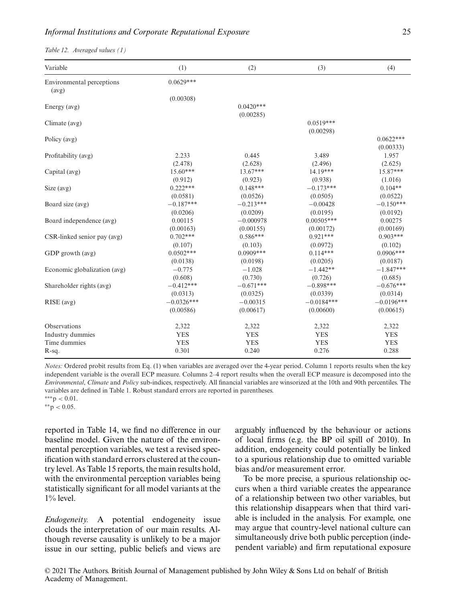#### *Informal Institutions and Corporate Reputational Exposure* 25

*Table 12. Averaged values (1)*

| Variable                           | (1)          | (2)         | (3)          | (4)          |
|------------------------------------|--------------|-------------|--------------|--------------|
| Environmental perceptions<br>(avg) | $0.0629***$  |             |              |              |
|                                    | (0.00308)    |             |              |              |
| Energy (avg)                       |              | $0.0420***$ |              |              |
|                                    |              | (0.00285)   |              |              |
| Climate (avg)                      |              |             | $0.0519***$  |              |
|                                    |              |             | (0.00298)    |              |
| Policy (avg)                       |              |             |              | $0.0622***$  |
|                                    |              |             |              | (0.00333)    |
| Profitability (avg)                | 2.233        | 0.445       | 3.489        | 1.957        |
|                                    | (2.478)      | (2.628)     | (2.496)      | (2.625)      |
| Capital (avg)                      | $15.60***$   | $13.67***$  | 14.19***     | 15.87***     |
|                                    | (0.912)      | (0.923)     | (0.938)      | (1.016)      |
| Size $(avg)$                       | $0.222***$   | $0.148***$  | $-0.173***$  | $0.104**$    |
|                                    | (0.0581)     | (0.0526)    | (0.0505)     | (0.0522)     |
| Board size (avg)                   | $-0.187***$  | $-0.213***$ | $-0.00428$   | $-0.150***$  |
|                                    | (0.0206)     | (0.0209)    | (0.0195)     | (0.0192)     |
| Board independence (avg)           | 0.00115      | $-0.000978$ | $0.00505***$ | 0.00275      |
|                                    | (0.00163)    | (0.00155)   | (0.00172)    | (0.00169)    |
| CSR-linked senior pay (avg)        | $0.702***$   | $0.586***$  | $0.921***$   | $0.903***$   |
|                                    | (0.107)      | (0.103)     | (0.0972)     | (0.102)      |
| GDP growth (avg)                   | $0.0502***$  | $0.0909***$ | $0.114***$   | $0.0906***$  |
|                                    | (0.0138)     | (0.0198)    | (0.0205)     | (0.0187)     |
| Economic globalization (avg)       | $-0.775$     | $-1.028$    | $-1.442**$   | $-1.847***$  |
|                                    | (0.608)      | (0.730)     | (0.726)      | (0.685)      |
| Shareholder rights (avg)           | $-0.412***$  | $-0.671***$ | $-0.898***$  | $-0.676***$  |
|                                    | (0.0313)     | (0.0325)    | (0.0339)     | (0.0314)     |
| RISE (avg)                         | $-0.0326***$ | $-0.00315$  | $-0.0184***$ | $-0.0196***$ |
|                                    | (0.00586)    | (0.00617)   | (0.00600)    | (0.00615)    |
| Observations                       | 2,322        | 2,322       | 2,322        | 2,322        |
| Industry dummies                   | <b>YES</b>   | <b>YES</b>  | <b>YES</b>   | <b>YES</b>   |
| Time dummies                       | <b>YES</b>   | <b>YES</b>  | <b>YES</b>   | <b>YES</b>   |
| R-sq.                              | 0.301        | 0.240       | 0.276        | 0.288        |

*Notes:* Ordered probit results from Eq. (1) when variables are averaged over the 4-year period. Column 1 reports results when the key independent variable is the overall ECP measure. Columns 2–4 report results when the overall ECP measure is decomposed into the *Environmental*, *Climate* and *Policy* sub-indices, respectively. All financial variables are winsorized at the 10th and 90th percentiles. The variables are defined in Table 1. Robust standard errors are reported in parentheses.

∗∗∗p *<* 0.01.

∗∗p *<* 0.05.

reported in Table 14, we find no difference in our baseline model. Given the nature of the environmental perception variables, we test a revised specification with standard errors clustered at the country level. As Table 15 reports, the main results hold, with the environmental perception variables being statistically significant for all model variants at the  $1\%$  level.

*Endogeneity.* A potential endogeneity issue clouds the interpretation of our main results. Although reverse causality is unlikely to be a major issue in our setting, public beliefs and views are arguably influenced by the behaviour or actions of local firms (e.g. the BP oil spill of 2010). In addition, endogeneity could potentially be linked to a spurious relationship due to omitted variable bias and/or measurement error.

To be more precise, a spurious relationship occurs when a third variable creates the appearance of a relationship between two other variables, but this relationship disappears when that third variable is included in the analysis. For example, one may argue that country-level national culture can simultaneously drive both public perception (independent variable) and firm reputational exposure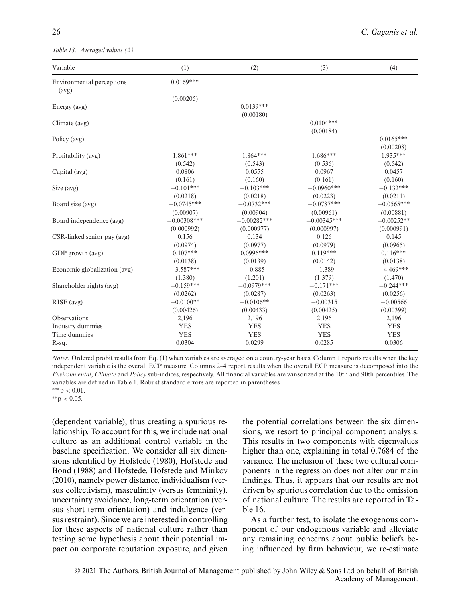*Table 13. Averaged values (2)*

| Variable                           | (1)           | (2)           | (3)           | (4)          |
|------------------------------------|---------------|---------------|---------------|--------------|
| Environmental perceptions<br>(avg) | $0.0169***$   |               |               |              |
|                                    | (0.00205)     |               |               |              |
| Energy (avg)                       |               | $0.0139***$   |               |              |
|                                    |               | (0.00180)     |               |              |
| Climate (avg)                      |               |               | $0.0104***$   |              |
|                                    |               |               | (0.00184)     |              |
| Policy (avg)                       |               |               |               | $0.0165***$  |
|                                    |               |               |               | (0.00208)    |
| Profitability (avg)                | $1.861***$    | 1.864***      | $1.686***$    | $1.935***$   |
|                                    | (0.542)       | (0.543)       | (0.536)       | (0.542)      |
| Capital (avg)                      | 0.0806        | 0.0555        | 0.0967        | 0.0457       |
|                                    | (0.161)       | (0.160)       | (0.161)       | (0.160)      |
| Size $(avg)$                       | $-0.101***$   | $-0.103***$   | $-0.0960***$  | $-0.132***$  |
|                                    | (0.0218)      | (0.0218)      | (0.0223)      | (0.0211)     |
| Board size (avg)                   | $-0.0745***$  | $-0.0732***$  | $-0.0787***$  | $-0.0565***$ |
|                                    | (0.00907)     | (0.00904)     | (0.00961)     | (0.00881)    |
| Board independence (avg)           | $-0.00308***$ | $-0.00282***$ | $-0.00345***$ | $-0.00252**$ |
|                                    | (0.000992)    | (0.000977)    | (0.000997)    | (0.000991)   |
| CSR-linked senior pay (avg)        | 0.156         | 0.134         | 0.126         | 0.145        |
|                                    | (0.0974)      | (0.0977)      | (0.0979)      | (0.0965)     |
| GDP growth (avg)                   | $0.107***$    | $0.0996***$   | $0.119***$    | $0.116***$   |
|                                    | (0.0138)      | (0.0139)      | (0.0142)      | (0.0138)     |
| Economic globalization (avg)       | $-3.587***$   | $-0.885$      | $-1.389$      | $-4.469***$  |
|                                    | (1.380)       | (1.201)       | (1.379)       | (1.470)      |
| Shareholder rights (avg)           | $-0.159***$   | $-0.0979***$  | $-0.171***$   | $-0.244***$  |
|                                    | (0.0262)      | (0.0287)      | (0.0263)      | (0.0256)     |
| RISE (avg)                         | $-0.0100**$   | $-0.0106**$   | $-0.00315$    | $-0.00566$   |
|                                    | (0.00426)     | (0.00433)     | (0.00425)     | (0.00399)    |
| Observations                       | 2,196         | 2,196         | 2,196         | 2,196        |
| Industry dummies                   | <b>YES</b>    | <b>YES</b>    | <b>YES</b>    | <b>YES</b>   |
| Time dummies                       | <b>YES</b>    | <b>YES</b>    | <b>YES</b>    | <b>YES</b>   |
| R-sq.                              | 0.0304        | 0.0299        | 0.0285        | 0.0306       |

*Notes:* Ordered probit results from Eq. (1) when variables are averaged on a country-year basis. Column 1 reports results when the key independent variable is the overall ECP measure. Columns 2–4 report results when the overall ECP measure is decomposed into the *Environmental*, *Climate* and *Policy* sub-indices, respectively. All financial variables are winsorized at the 10th and 90th percentiles. The variables are defined in Table 1. Robust standard errors are reported in parentheses.

∗∗p *<* 0.05.

(dependent variable), thus creating a spurious relationship. To account for this, we include national culture as an additional control variable in the baseline specification. We consider all six dimensions identified by Hofstede (1980), Hofstede and Bond (1988) and Hofstede, Hofstede and Minkov (2010), namely power distance, individualism (versus collectivism), masculinity (versus femininity), uncertainty avoidance, long-term orientation (versus short-term orientation) and indulgence (versus restraint). Since we are interested in controlling for these aspects of national culture rather than testing some hypothesis about their potential impact on corporate reputation exposure, and given the potential correlations between the six dimensions, we resort to principal component analysis. This results in two components with eigenvalues higher than one, explaining in total 0.7684 of the variance. The inclusion of these two cultural components in the regression does not alter our main findings. Thus, it appears that our results are not driven by spurious correlation due to the omission of national culture. The results are reported in Table 16.

As a further test, to isolate the exogenous component of our endogenous variable and alleviate any remaining concerns about public beliefs being influenced by firm behaviour, we re-estimate

<sup>∗∗∗</sup>p *<* 0.01.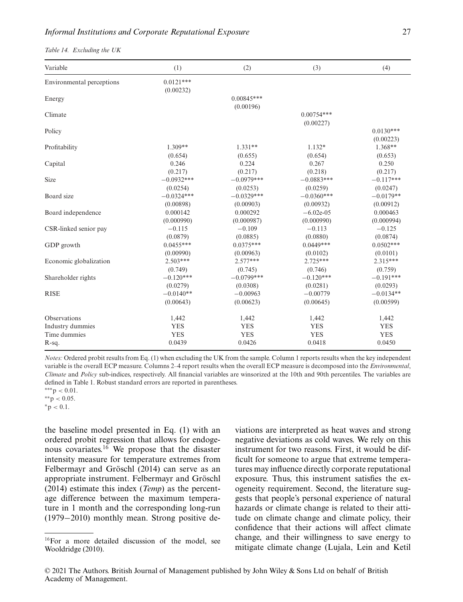|  | Table 14. Excluding the UK |  |  |
|--|----------------------------|--|--|
|--|----------------------------|--|--|

| Variable                         | (1)                                  | (2)                                 | (3)                                   | (4)                                  |
|----------------------------------|--------------------------------------|-------------------------------------|---------------------------------------|--------------------------------------|
| Environmental perceptions        | $0.0121***$<br>(0.00232)             |                                     |                                       |                                      |
| Energy                           |                                      | $0.00845***$                        |                                       |                                      |
| Climate                          |                                      | (0.00196)                           | $0.00754***$<br>(0.00227)             |                                      |
| Policy                           |                                      |                                     |                                       | $0.0130***$<br>(0.00223)             |
| Profitability                    | $1.309**$<br>(0.654)                 | $1.331**$<br>(0.655)                | $1.132*$<br>(0.654)                   | 1.368**<br>(0.653)                   |
| Capital                          | 0.246<br>(0.217)                     | 0.224<br>(0.217)                    | 0.267<br>(0.218)                      | 0.250<br>(0.217)                     |
| Size                             | $-0.0932***$<br>(0.0254)             | $-0.0979***$                        | $-0.0883***$                          | $-0.117***$                          |
| Board size                       | $-0.0324***$                         | (0.0253)<br>$-0.0329***$            | (0.0259)<br>$-0.0360***$<br>(0.00932) | (0.0247)<br>$-0.0179**$              |
| Board independence               | (0.00898)<br>0.000142                | (0.00903)<br>0.000292               | $-6.02e-05$<br>(0.000990)             | (0.00912)<br>0.000463                |
| CSR-linked senior pay            | (0.000990)<br>$-0.115$               | (0.000987)<br>$-0.109$              | $-0.113$                              | (0.000994)<br>$-0.125$               |
| GDP growth                       | (0.0879)<br>$0.0455***$              | (0.0885)<br>$0.0375***$             | (0.0880)<br>$0.0449***$               | (0.0874)<br>$0.0502***$              |
| Economic globalization           | (0.00990)<br>$2.503***$              | (0.00963)<br>$2.577***$             | (0.0102)<br>$2.725***$                | (0.0101)<br>$2.315***$               |
| Shareholder rights               | (0.749)<br>$-0.120***$               | (0.745)<br>$-0.0799***$             | (0.746)<br>$-0.120***$                | (0.759)<br>$-0.191***$               |
| <b>RISE</b>                      | (0.0279)<br>$-0.0140**$<br>(0.00643) | (0.0308)<br>$-0.00963$<br>(0.00623) | (0.0281)<br>$-0.00779$<br>(0.00645)   | (0.0293)<br>$-0.0134**$<br>(0.00599) |
| Observations                     | 1,442                                | 1,442                               | 1,442                                 | 1,442                                |
| Industry dummies<br>Time dummies | <b>YES</b><br><b>YES</b>             | <b>YES</b><br><b>YES</b>            | <b>YES</b><br><b>YES</b>              | <b>YES</b><br><b>YES</b>             |
| R-sq.                            | 0.0439                               | 0.0426                              | 0.0418                                | 0.0450                               |

*Notes:* Ordered probit results from Eq. (1) when excluding the UK from the sample. Column 1 reports results when the key independent variable is the overall ECP measure. Columns 2–4 report results when the overall ECP measure is decomposed into the *Environmental*, *Climate* and *Policy* sub-indices, respectively. All financial variables are winsorized at the 10th and 90th percentiles. The variables are defined in Table 1. Robust standard errors are reported in parentheses.

∗∗p *<* 0.05.

∗p *<* 0.1.

the baseline model presented in Eq. (1) with an ordered probit regression that allows for endogenous covariates.<sup>16</sup> We propose that the disaster intensity measure for temperature extremes from Felbermayr and Gröschl (2014) can serve as an appropriate instrument. Felbermayr and Gröschl (2014) estimate this index (*Temp*) as the percentage difference between the maximum temperature in 1 month and the corresponding long-run (1979−2010) monthly mean. Strong positive deviations are interpreted as heat waves and strong negative deviations as cold waves. We rely on this instrument for two reasons. First, it would be difficult for someone to argue that extreme temperatures may influence directly corporate reputational exposure. Thus, this instrument satisfies the exogeneity requirement. Second, the literature suggests that people's personal experience of natural hazards or climate change is related to their attitude on climate change and climate policy, their confidence that their actions will affect climate change, and their willingness to save energy to mitigate climate change (Lujala, Lein and Ketil

<sup>∗∗∗</sup>p *<* 0.01.

<sup>&</sup>lt;sup>16</sup>For a more detailed discussion of the model, see Wooldridge (2010).

<sup>© 2021</sup> The Authors. British Journal of Management published by John Wiley & Sons Ltd on behalf of British Academy of Management.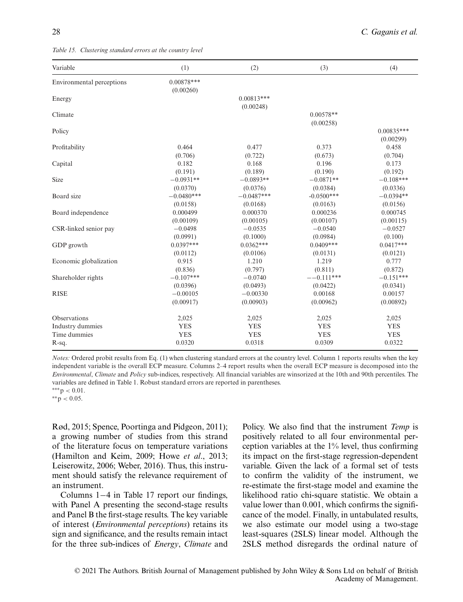*Table 15. Clustering standard errors at the country level*

| Variable                  | (1)                       | (2)                       | (3)                      | (4)                       |
|---------------------------|---------------------------|---------------------------|--------------------------|---------------------------|
| Environmental perceptions | $0.00878***$<br>(0.00260) |                           |                          |                           |
| Energy                    |                           | $0.00813***$<br>(0.00248) |                          |                           |
| Climate                   |                           |                           | $0.00578**$<br>(0.00258) |                           |
| Policy                    |                           |                           |                          | $0.00835***$<br>(0.00299) |
| Profitability             | 0.464                     | 0.477                     | 0.373                    | 0.458                     |
|                           | (0.706)                   | (0.722)                   | (0.673)                  | (0.704)                   |
| Capital                   | 0.182                     | 0.168                     | 0.196                    | 0.173                     |
|                           | (0.191)                   | (0.189)                   | (0.190)                  | (0.192)                   |
| Size                      | $-0.0931**$               | $-0.0893**$               | $-0.0871**$              | $-0.108***$               |
|                           | (0.0370)                  | (0.0376)                  | (0.0384)                 | (0.0336)                  |
| Board size                | $-0.0480***$              | $-0.0487***$              | $-0.0500***$             | $-0.0394**$               |
|                           | (0.0158)                  | (0.0168)                  | (0.0163)                 | (0.0156)                  |
| Board independence        | 0.000499                  | 0.000370                  | 0.000236                 | 0.000745                  |
|                           | (0.00109)                 | (0.00105)                 | (0.00107)                | (0.00115)                 |
| CSR-linked senior pay     | $-0.0498$                 | $-0.0535$                 | $-0.0540$                | $-0.0527$                 |
|                           | (0.0991)                  | (0.1000)                  | (0.0984)                 | (0.100)                   |
| GDP growth                | $0.0397***$               | $0.0362***$               | $0.0409***$              | $0.0417***$               |
|                           | (0.0112)                  | (0.0106)                  | (0.0131)                 | (0.0121)                  |
| Economic globalization    | 0.915                     | 1.210                     | 1.219                    | 0.777                     |
|                           | (0.836)                   | (0.797)                   | (0.811)                  | (0.872)                   |
| Shareholder rights        | $-0.107***$               | $-0.0740$                 | $-$ -0.111***            | $-0.151***$               |
|                           | (0.0396)                  | (0.0493)                  | (0.0422)                 | (0.0341)                  |
| <b>RISE</b>               | $-0.00105$                | $-0.00330$                | 0.00168                  | 0.00157                   |
|                           | (0.00917)                 | (0.00903)                 | (0.00962)                | (0.00892)                 |
| Observations              | 2,025                     | 2,025                     | 2,025                    | 2,025                     |
| Industry dummies          | <b>YES</b>                | <b>YES</b>                | <b>YES</b>               | <b>YES</b>                |
| Time dummies              | <b>YES</b>                | <b>YES</b>                | <b>YES</b>               | <b>YES</b>                |
| R-sq.                     | 0.0320                    | 0.0318                    | 0.0309                   | 0.0322                    |

*Notes:* Ordered probit results from Eq. (1) when clustering standard errors at the country level. Column 1 reports results when the key independent variable is the overall ECP measure. Columns 2–4 report results when the overall ECP measure is decomposed into the *Environmental*, *Climate* and *Policy* sub-indices, respectively. All financial variables are winsorized at the 10th and 90th percentiles. The variables are defined in Table 1. Robust standard errors are reported in parentheses.

∗∗p *<* 0.05.

Rød, 2015; Spence, Poortinga and Pidgeon, 2011); a growing number of studies from this strand of the literature focus on temperature variations (Hamilton and Keim, 2009; Howe *et al*., 2013; Leiserowitz, 2006; Weber, 2016). Thus, this instrument should satisfy the relevance requirement of an instrument.

Columns 1−4 in Table 17 report our findings, with Panel A presenting the second-stage results and Panel B the first-stage results. The key variable of interest (*Environmental perceptions*) retains its sign and significance, and the results remain intact for the three sub-indices of *Energy*, *Climate* and Policy. We also find that the instrument *Temp* is positively related to all four environmental perception variables at the 1% level, thus confirming its impact on the first-stage regression-dependent variable. Given the lack of a formal set of tests to confirm the validity of the instrument, we re-estimate the first-stage model and examine the likelihood ratio chi-square statistic. We obtain a value lower than 0.001, which confirms the significance of the model. Finally, in untabulated results, we also estimate our model using a two-stage least-squares (2SLS) linear model. Although the 2SLS method disregards the ordinal nature of

<sup>∗∗∗</sup>p *<* 0.01.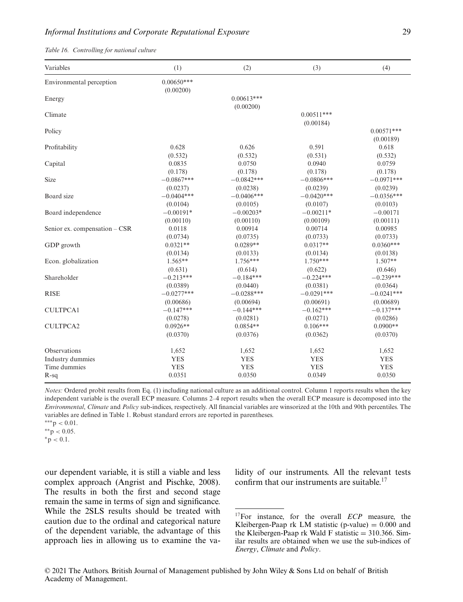*Table 16. Controlling for national culture*

| Variables                     | (1)          | (2)          | (3)          | (4)          |
|-------------------------------|--------------|--------------|--------------|--------------|
| Environmental perception      | $0.00650***$ |              |              |              |
|                               | (0.00200)    |              |              |              |
| Energy                        |              | $0.00613***$ |              |              |
|                               |              | (0.00200)    |              |              |
| Climate                       |              |              | $0.00511***$ |              |
|                               |              |              | (0.00184)    |              |
| Policy                        |              |              |              | $0.00571***$ |
|                               |              |              |              | (0.00189)    |
| Profitability                 | 0.628        | 0.626        | 0.591        | 0.618        |
|                               | (0.532)      | (0.532)      | (0.531)      | (0.532)      |
| Capital                       | 0.0835       | 0.0750       | 0.0940       | 0.0759       |
|                               | (0.178)      | (0.178)      | (0.178)      | (0.178)      |
| Size                          | $-0.0867***$ | $-0.0842***$ | $-0.0806***$ | $-0.0971***$ |
|                               | (0.0237)     | (0.0238)     | (0.0239)     | (0.0239)     |
| Board size                    | $-0.0404***$ | $-0.0406***$ | $-0.0420***$ | $-0.0356***$ |
|                               | (0.0104)     | (0.0105)     | (0.0107)     | (0.0103)     |
| Board independence            | $-0.00191*$  | $-0.00203*$  | $-0.00211*$  | $-0.00171$   |
|                               | (0.00110)    | (0.00110)    | (0.00109)    | (0.00111)    |
| Senior ex. compensation - CSR | 0.0118       | 0.00914      | 0.00714      | 0.00985      |
|                               | (0.0734)     | (0.0735)     | (0.0733)     | (0.0733)     |
| GDP growth                    | $0.0321**$   | $0.0289**$   | $0.0317**$   | $0.0360***$  |
|                               | (0.0134)     | (0.0133)     | (0.0134)     | (0.0138)     |
| Econ. globalization           | $1.565**$    | $1.756***$   | $1.750***$   | $1.507**$    |
|                               | (0.631)      | (0.614)      | (0.622)      | (0.646)      |
| Shareholder                   | $-0.213***$  | $-0.184***$  | $-0.224***$  | $-0.239***$  |
|                               | (0.0389)     | (0.0440)     | (0.0381)     | (0.0364)     |
| <b>RISE</b>                   | $-0.0277***$ | $-0.0288***$ | $-0.0291***$ | $-0.0241***$ |
|                               | (0.00686)    | (0.00694)    | (0.00691)    | (0.00689)    |
| <b>CULTPCA1</b>               | $-0.147***$  | $-0.144***$  | $-0.162***$  | $-0.137***$  |
|                               | (0.0278)     | (0.0281)     | (0.0271)     | (0.0286)     |
| <b>CULTPCA2</b>               | $0.0926**$   | $0.0854**$   | $0.106***$   | $0.0900**$   |
|                               | (0.0370)     | (0.0376)     | (0.0362)     | (0.0370)     |
| Observations                  | 1,652        | 1,652        | 1,652        | 1,652        |
| Industry dummies              | <b>YES</b>   | <b>YES</b>   | <b>YES</b>   | <b>YES</b>   |
| Time dummies                  | <b>YES</b>   | <b>YES</b>   | <b>YES</b>   | <b>YES</b>   |
| $R-sq$                        | 0.0351       | 0.0350       | 0.0349       | 0.0350       |

*Notes:* Ordered probit results from Eq. (1) including national culture as an additional control. Column 1 reports results when the key independent variable is the overall ECP measure. Columns 2–4 report results when the overall ECP measure is decomposed into the *Environmental*, *Climate* and *Policy* sub-indices, respectively. All financial variables are winsorized at the 10th and 90th percentiles. The variables are defined in Table 1. Robust standard errors are reported in parentheses.

∗p *<* 0.1.

our dependent variable, it is still a viable and less complex approach (Angrist and Pischke, 2008). The results in both the first and second stage remain the same in terms of sign and significance. While the 2SLS results should be treated with caution due to the ordinal and categorical nature of the dependent variable, the advantage of this approach lies in allowing us to examine the validity of our instruments. All the relevant tests confirm that our instruments are suitable.<sup>17</sup>

<sup>∗∗∗</sup>p *<* 0.01.

<sup>∗∗</sup>p *<* 0.05.

<sup>17</sup>For instance, for the overall *ECP* measure, the Kleibergen-Paap rk LM statistic (p-value)  $= 0.000$  and the Kleibergen-Paap rk Wald F statistic  $= 310.366$ . Similar results are obtained when we use the sub-indices of *Energy*, *Climate* and *Policy*.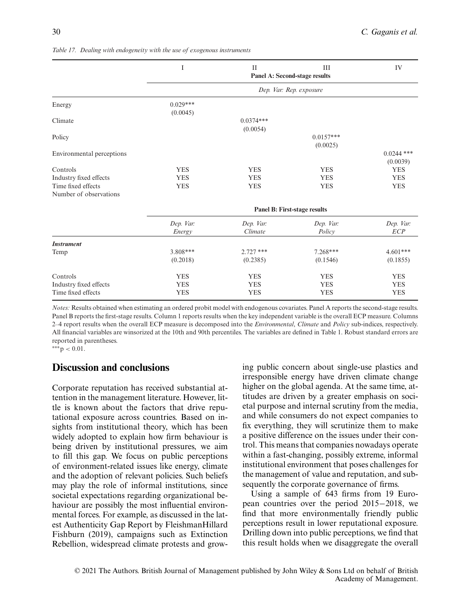|                                              | I                            | $\mathbf{I}$             | III<br>Panel A: Second-stage results | IV                       |  |
|----------------------------------------------|------------------------------|--------------------------|--------------------------------------|--------------------------|--|
|                                              |                              |                          | Dep. Var: Rep. exposure              |                          |  |
| Energy                                       | $0.029***$<br>(0.0045)       |                          |                                      |                          |  |
| Climate                                      |                              | $0.0374***$<br>(0.0054)  |                                      |                          |  |
| Policy                                       |                              |                          | $0.0157***$<br>(0.0025)              |                          |  |
| Environmental perceptions                    |                              |                          |                                      | $0.0244$ ***<br>(0.0039) |  |
| Controls<br>Industry fixed effects           | <b>YES</b><br><b>YES</b>     | <b>YES</b><br><b>YES</b> | <b>YES</b><br><b>YES</b>             | <b>YES</b><br><b>YES</b> |  |
| Time fixed effects<br>Number of observations | <b>YES</b>                   | <b>YES</b>               | <b>YES</b>                           | <b>YES</b>               |  |
|                                              | Panel B: First-stage results |                          |                                      |                          |  |
|                                              | Dep. Var:<br>Energy          | Dep. Var.<br>Climate     | Dep. Var:<br>Policy                  | Dep. Var:<br>ECP         |  |
| <b>Instrument</b>                            |                              |                          |                                      |                          |  |
| Temp                                         | 3.808***<br>(0.2018)         | $2.727$ ***<br>(0.2385)  | $7.268***$<br>(0.1546)               | $4.601***$<br>(0.1855)   |  |
| Controls                                     | <b>YES</b>                   | <b>YES</b>               | <b>YES</b>                           | <b>YES</b>               |  |
| Industry fixed effects<br>Time fixed effects | <b>YES</b><br><b>YES</b>     | <b>YES</b><br><b>YES</b> | <b>YES</b><br><b>YES</b>             | <b>YES</b><br><b>YES</b> |  |

*Table 17. Dealing with endogeneity with the use of exogenous instruments*

*Notes:* Results obtained when estimating an ordered probit model with endogenous covariates. Panel A reports the second-stage results. Panel B reports the first-stage results. Column 1 reports results when the key independent variable is the overall ECP measure. Columns 2–4 report results when the overall ECP measure is decomposed into the *Environmental*, *Climate* and *Policy* sub-indices, respectively. All financial variables are winsorized at the 10th and 90th percentiles. The variables are defined in Table 1. Robust standard errors are reported in parentheses.

∗∗∗p *<* 0.01.

## **Discussion and conclusions**

Corporate reputation has received substantial attention in the management literature. However, little is known about the factors that drive reputational exposure across countries. Based on insights from institutional theory, which has been widely adopted to explain how firm behaviour is being driven by institutional pressures, we aim to fill this gap. We focus on public perceptions of environment-related issues like energy, climate and the adoption of relevant policies. Such beliefs may play the role of informal institutions, since societal expectations regarding organizational behaviour are possibly the most influential environmental forces. For example, as discussed in the latest Authenticity Gap Report by FleishmanHillard Fishburn (2019), campaigns such as Extinction Rebellion, widespread climate protests and growing public concern about single-use plastics and irresponsible energy have driven climate change higher on the global agenda. At the same time, attitudes are driven by a greater emphasis on societal purpose and internal scrutiny from the media, and while consumers do not expect companies to fix everything, they will scrutinize them to make a positive difference on the issues under their control. This means that companies nowadays operate within a fast-changing, possibly extreme, informal institutional environment that poses challenges for the management of value and reputation, and subsequently the corporate governance of firms.

Using a sample of 643 firms from 19 European countries over the period 2015−2018, we find that more environmentally friendly public perceptions result in lower reputational exposure. Drilling down into public perceptions, we find that this result holds when we disaggregate the overall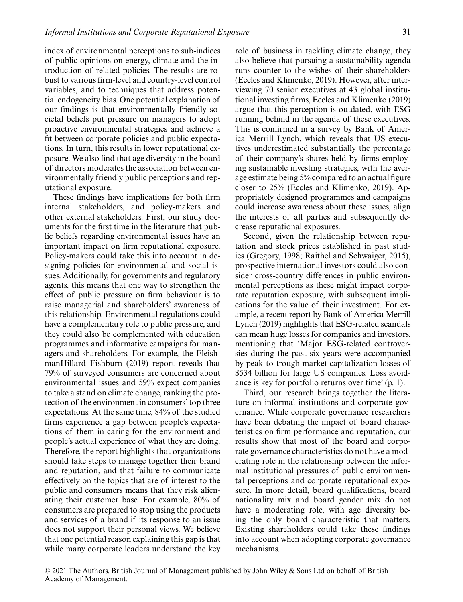index of environmental perceptions to sub-indices of public opinions on energy, climate and the introduction of related policies. The results are robust to various firm-level and country-level control variables, and to techniques that address potential endogeneity bias. One potential explanation of our findings is that environmentally friendly societal beliefs put pressure on managers to adopt proactive environmental strategies and achieve a fit between corporate policies and public expectations. In turn, this results in lower reputational exposure. We also find that age diversity in the board of directors moderates the association between environmentally friendly public perceptions and reputational exposure.

These findings have implications for both firm internal stakeholders, and policy-makers and other external stakeholders. First, our study documents for the first time in the literature that public beliefs regarding environmental issues have an important impact on firm reputational exposure. Policy-makers could take this into account in designing policies for environmental and social issues. Additionally, for governments and regulatory agents, this means that one way to strengthen the effect of public pressure on firm behaviour is to raise managerial and shareholders' awareness of this relationship. Environmental regulations could have a complementary role to public pressure, and they could also be complemented with education programmes and informative campaigns for managers and shareholders. For example, the FleishmanHillard Fishburn (2019) report reveals that 79% of surveyed consumers are concerned about environmental issues and 59% expect companies to take a stand on climate change, ranking the protection of the environment in consumers' top three expectations. At the same time, 84% of the studied firms experience a gap between people's expectations of them in caring for the environment and people's actual experience of what they are doing. Therefore, the report highlights that organizations should take steps to manage together their brand and reputation, and that failure to communicate effectively on the topics that are of interest to the public and consumers means that they risk alienating their customer base. For example, 80% of consumers are prepared to stop using the products and services of a brand if its response to an issue does not support their personal views. We believe that one potential reason explaining this gap is that while many corporate leaders understand the key role of business in tackling climate change, they also believe that pursuing a sustainability agenda runs counter to the wishes of their shareholders (Eccles and Klimenko, 2019). However, after interviewing 70 senior executives at 43 global institutional investing firms, Eccles and Klimenko (2019) argue that this perception is outdated, with ESG running behind in the agenda of these executives. This is confirmed in a survey by Bank of America Merrill Lynch, which reveals that US executives underestimated substantially the percentage of their company's shares held by firms employing sustainable investing strategies, with the average estimate being 5% compared to an actual figure closer to 25% (Eccles and Klimenko, 2019). Appropriately designed programmes and campaigns could increase awareness about these issues, align the interests of all parties and subsequently decrease reputational exposures.

Second, given the relationship between reputation and stock prices established in past studies (Gregory, 1998; Raithel and Schwaiger, 2015), prospective international investors could also consider cross-country differences in public environmental perceptions as these might impact corporate reputation exposure, with subsequent implications for the value of their investment. For example, a recent report by Bank of America Merrill Lynch (2019) highlights that ESG-related scandals can mean huge losses for companies and investors, mentioning that 'Major ESG-related controversies during the past six years were accompanied by peak-to-trough market capitalization losses of \$534 billion for large US companies. Loss avoidance is key for portfolio returns over time' (p. 1).

Third, our research brings together the literature on informal institutions and corporate governance. While corporate governance researchers have been debating the impact of board characteristics on firm performance and reputation, our results show that most of the board and corporate governance characteristics do not have a moderating role in the relationship between the informal institutional pressures of public environmental perceptions and corporate reputational exposure. In more detail, board qualifications, board nationality mix and board gender mix do not have a moderating role, with age diversity being the only board characteristic that matters. Existing shareholders could take these findings into account when adopting corporate governance mechanisms.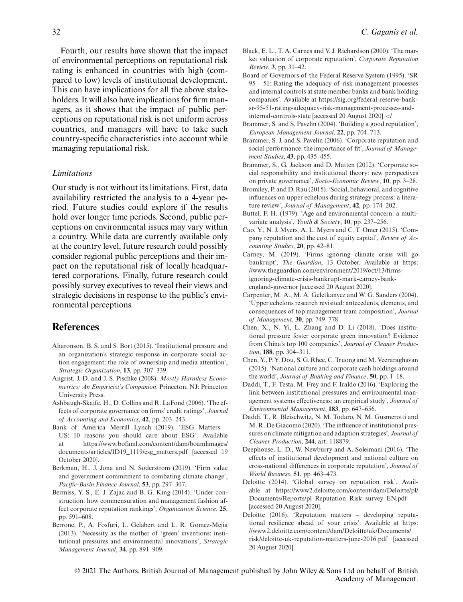Fourth, our results have shown that the impact of environmental perceptions on reputational risk rating is enhanced in countries with high (compared to low) levels of institutional development. This can have implications for all the above stakeholders. It will also have implications for firm managers, as it shows that the impact of public perceptions on reputational risk is not uniform across countries, and managers will have to take such country-specific characteristics into account while managing reputational risk.

#### *Limitations*

Our study is not without its limitations. First, data availability restricted the analysis to a 4-year period. Future studies could explore if the results hold over longer time periods. Second, public perceptions on environmental issues may vary within a country. While data are currently available only at the country level, future research could possibly consider regional public perceptions and their impact on the reputational risk of locally headquartered corporations. Finally, future research could possibly survey executives to reveal their views and strategic decisions in response to the public's environmental perceptions.

## **References**

- Aharonson, B. S. and S. Bort (2015). 'Institutional pressure and an organization's strategic response in corporate social action engagement: the role of ownership and media attention', *Strategic Organization*, **13**, pp. 307–339.
- Angrist, J. D. and J. S. Pischke (2008). *Mostly Harmless Econometrics: An Empiricist's Companion*. Princeton, NJ: Princeton University Press.
- Ashbaugh-Skaife, H., D. Collins and R. LaFond (2006). 'The effects of corporate governance on firms' credit ratings', *Journal of Accounting and Economics*, **42**, pp. 203–243.
- Bank of America Merrill Lynch (2019). 'ESG Matters US: 10 reasons you should care about ESG'. Available at [https://www.bofaml.com/content/dam/boamlimages/](https://www.bofaml.com/content/dam/boamlimages/documents/articles/ID19_1119/esg_matters.pdf) [documents/articles/ID19\\_1119/esg\\_matters.pdf](https://www.bofaml.com/content/dam/boamlimages/documents/articles/ID19_1119/esg_matters.pdf) [accessed 19 October 2020].
- Berkman, H., J. Jona and N. Soderstrom (2019). 'Firm value and government commitment to combating climate change', *Pacific-Basin Finance Journal*, **53**, pp. 297–307.
- Bermiss, Y. S., E. J. Zajac and B. G. King (2014). 'Under construction: how commensuration and management fashion affect corporate reputation rankings', *Organization Science*, **25**, pp. 591–608.
- Berrone, P., A. Fosfuri, L. Gelabert and L. R. Gomez-Mejia (2013). 'Necessity as the mother of 'green' inventions: institutional pressures and environmental innovations', *Strategic Management Journal*, **34**, pp. 891–909.
- Black, E. L., T. A. Carnes and V. J. Richardson (2000). 'The market valuation of corporate reputation', *Corporate Reputation Review*, **3**, pp. 31–42.
- Board of Governors of the Federal Reserve System (1995). 'SR 95 – 51: Rating the adequacy of risk management processes and internal controls at state member banks and bank holding companies'. Available at [https://sig.org/federal-reserve-bank](https://sig.org/federal-reserve-bank-sr-95-51-rating-adequacy-risk-management-processes-and-internal-controls-state)[sr-95-51-rating-adequacy-risk-management-processes-and](https://sig.org/federal-reserve-bank-sr-95-51-rating-adequacy-risk-management-processes-and-internal-controls-state)[internal-controls-state](https://sig.org/federal-reserve-bank-sr-95-51-rating-adequacy-risk-management-processes-and-internal-controls-state) [accessed 20 August 2020].*<*/
- Brammer, S. and S. Pavelin (2004). 'Building a good reputation', *European Management Journal*, **22**, pp. 704–713.
- Brammer, S. J. and S. Pavelin (2006). 'Corporate reputation and social performance: the importance of fit', *Journal of Management Studies*, **43**, pp. 435–455.
- Brammer, S., G. Jackson and D. Matten (2012). 'Corporate social responsibility and institutional theory: new perspectives on private governance', *Socio-Economic Review*, **10**, pp. 3–28.
- Bromiley, P. and D. Rau (2015). 'Social, behavioral, and cognitive influences on upper echelons during strategy process: a literature review', *Journal of Management*, **42**, pp. 174–202.
- Buttel, F. H. (1979). 'Age and environmental concern: a multivariate analysis', *Youth & Society*, **10**, pp. 237–256.
- Cao, Y., N. J. Myers, A. L. Myers and C. T. Omer (2015). 'Company reputation and the cost of equity capital', *Review of Accounting Studies*, **20**, pp. 42–81.
- Carney, M. (2019). 'Firms ignoring climate crisis will go bankrupt', *The Guardian*, 13 October. Available at [https:](https://www.theguardian.com/environment/2019/oct/13/firms-ignoring-climate-crisis-bankrupt-mark-carney-bank-england-governor) [//www.theguardian.com/environment/2019/oct/13/firms](https://www.theguardian.com/environment/2019/oct/13/firms-ignoring-climate-crisis-bankrupt-mark-carney-bank-england-governor)[ignoring-climate-crisis-bankrupt-mark-carney-bank](https://www.theguardian.com/environment/2019/oct/13/firms-ignoring-climate-crisis-bankrupt-mark-carney-bank-england-governor)[england-governor](https://www.theguardian.com/environment/2019/oct/13/firms-ignoring-climate-crisis-bankrupt-mark-carney-bank-england-governor) [accessed 20 August 2020].
- Carpenter, M. A., M. A. Geletkanycz and W. G. Sanders (2004). 'Upper echelons research revisited: antecedents, elements, and consequences of top management team composition', *Journal of Management*, **30**, pp. 749–778.
- Chen, X., N. Yi, L. Zhang and D. Li (2018). 'Does institutional pressure foster corporate green innovation? Evidence from China's top 100 companies', *Journal of Cleaner Production*, **188**, pp. 304–311.
- Chen, Y., P. Y. Dou, S. G. Rhee, C. Truong and M. Veeraraghavan (2015). 'National culture and corporate cash holdings around the world', *Journal of Banking and Finance*, **50**, pp. 1–18.
- Daddi, T., F. Testa, M. Frey and F. Iraldo (2016). 'Exploring the link between institutional pressures and environmental management systems effectiveness: an empirical study', *Journal of Environmental Management*, **183**, pp. 647–656.
- Daddi, T., R. Bleischwitz, N. M. Todaro, N. M. Gusmerotti and M. R. De Giacomo (2020). 'The influence of institutional pressures on climate mitigation and adaption strategies', *Journal of Cleaner Production*, **244**, art. 118879.
- Deephouse, L. D., W. Newburry and A. Soleimani (2016). 'The effects of institutional development and national culture on cross-national differences in corporate reputation', *Journal of World Business*, **51**, pp. 463–473.
- Deloitte (2014). 'Global survey on reputation risk'. Available at [https://www2.deloitte.com/content/dam/Deloitte/pl/](https://www2.deloitte.com/content/dam/Deloitte/pl/Documents/Reports/pl_Reputation_Risk_survey_EN.pdf) [Documents/Reports/pl\\_Reputation\\_Risk\\_survey\\_EN.pdf](https://www2.deloitte.com/content/dam/Deloitte/pl/Documents/Reports/pl_Reputation_Risk_survey_EN.pdf) [accessed 20 August 2020].
- Deloitte (2016). 'Reputation matters developing reputational resilience ahead of your crisis'. Available at [https:](https://www2.deloitte.com/content/dam/Deloitte/uk/Documents/risk/deloitte-uk-reputation-matters-june-2016.pdf) [//www2.deloitte.com/content/dam/Deloitte/uk/Documents/](https://www2.deloitte.com/content/dam/Deloitte/uk/Documents/risk/deloitte-uk-reputation-matters-june-2016.pdf) [risk/deloitte-uk-reputation-matters-june-2016.pdf](https://www2.deloitte.com/content/dam/Deloitte/uk/Documents/risk/deloitte-uk-reputation-matters-june-2016.pdf) [accessed 20 August 2020].

© 2021 The Authors. British Journal of Management published by John Wiley & Sons Ltd on behalf of British Academy of Management.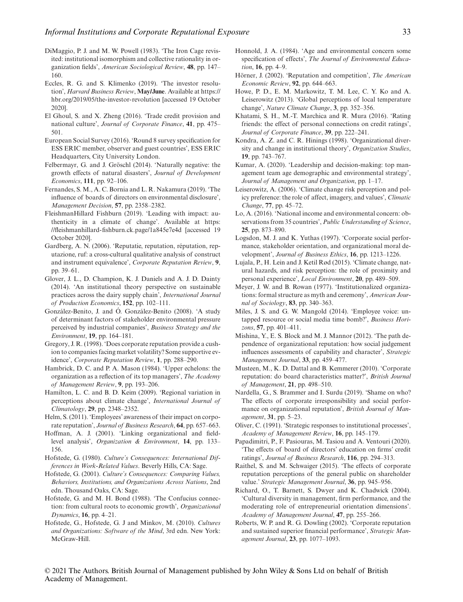- DiMaggio, P. J. and M. W. Powell (1983). 'The Iron Cage revisited: institutional isomorphism and collective rationality in organization fields', *American Sociological Review*, **48**, pp. 147– 160.
- Eccles, R. G. and S. Klimenko (2019). 'The investor resolution', *Harvard Business Review*, **May/June**. Available at [https://](https://hbr.org/2019/05/the-investor-revolution) [hbr.org/2019/05/the-investor-revolution](https://hbr.org/2019/05/the-investor-revolution) [accessed 19 October 2020].
- El Ghoul, S. and X. Zheng (2016). 'Trade credit provision and national culture', *Journal of Corporate Finance*, **41**, pp. 475– 501.
- European Social Survey (2016). 'Round 8 survey specification for ESS ERIC member, observer and guest countries', ESS ERIC Headquarters, City University London.
- Felbermayr, G. and J. Gröschl (2014). 'Naturally negative: the growth effects of natural disasters', *Journal of Development Economics*, **111**, pp. 92–106.
- Fernandes, S. M., A. C. Bornia and L. R. Nakamura (2019). 'The influence of boards of directors on environmental disclosure', *Management Decision*, **57**, pp. 2358–2382.
- FleishmanHillard Fishburn (2019). 'Leading with impact: authenticity in a climate of change'. Available at [https:](https://fleishmanhillard-fishburn.ck.page/1a845e7e4d) [//fleishmanhillard-fishburn.ck.page/1a845e7e4d](https://fleishmanhillard-fishburn.ck.page/1a845e7e4d) [accessed 19 October 2020].
- Gardberg, A. N. (2006). 'Reputatie, reputation, réputation, reputazione, ruf: a cross-cultural qualitative analysis of construct and instrument equivalence', *Corporate Reputation Review*, **9**, pp. 39–61.
- Glover, J. L., D. Champion, K. J. Daniels and A. J. D. Dainty (2014). 'An institutional theory perspective on sustainable practices across the dairy supply chain', *International Journal of Production Economics*, **152**, pp. 102–111.
- González-Benito, J. and Ó. González-Benito (2008). 'A study of determinant factors of stakeholder environmental pressure perceived by industrial companies', *Business Strategy and the Environment*, **19**, pp. 164–181.
- Gregory, J. R. (1998). 'Does corporate reputation provide a cushion to companies facing market volatility? Some supportive evidence', *Corporate Reputation Review*, **1**, pp. 288–290.
- Hambrick, D. C. and P. A. Mason (1984). 'Upper echelons: the organization as a reflection of its top managers', *The Academy of Management Review*, **9**, pp. 193–206.
- Hamilton, L. C. and B. D. Keim (2009). 'Regional variation in perceptions about climate change', *International Journal of Climatology*, **29**, pp. 2348–2352.
- Helm, S. (2011). 'Employees' awareness of their impact on corporate reputation', *Journal of Business Research*, **64**, pp. 657–663.
- Hoffman, A. J. (2001). 'Linking organizational and fieldlevel analysis', *Organization & Environment*, **14**, pp. 133– 156.
- Hofstede, G. (1980). *Culture's Consequences: International Differences in Work-Related Values*. Beverly Hills, CA: Sage.
- Hofstede, G. (2001). *Culture's Consequences: Comparing Values, Behaviors, Institutions, and Organizations Across Nations*, 2nd edn. Thousand Oaks, CA: Sage.
- Hofstede, G. and M. H. Bond (1988). 'The Confucius connection: from cultural roots to economic growth', *Organizational Dynamics*, **16**, pp. 4–21.
- Hofstede, G., Hofstede, G. J and Minkov, M. (2010). *Cultures and Organizations: Software of the Mind*, 3rd edn. New York: McGraw-Hill.
- Honnold, J. A. (1984). 'Age and environmental concern some specification of effects', *The Journal of Environmental Education*, **16**, pp. 4–9.
- Hörner, J. (2002). 'Reputation and competition', *The American Economic Review*, **92**, pp. 644–663.
- Howe, P. D., E. M. Markowitz, T. M. Lee, C. Y. Ko and A. Leiserowitz (2013). 'Global perceptions of local temperature change', *Nature Climate Change*, **3**, pp. 352–356.
- Khatami, S. H., M.-T. Marchica and R. Mura (2016). 'Rating friends: the effect of personal connections on credit ratings', *Journal of Corporate Finance*, **39**, pp. 222–241.
- Kondra, A. Z. and C. R. Hinings (1998). 'Organizational diversity and change in institutional theory', *Organization Studies*, **19**, pp. 743–767.
- Kumar, A. (2020). 'Leadership and decision-making: top management team age demographic and environmental strategy', *Journal of Management and Organization*, pp. 1–17.
- Leiserowitz, A. (2006). 'Climate change risk perception and policy preference: the role of affect, imagery, and values', *Climatic Change*, **77**, pp. 45–72.
- Lo, A. (2016). 'National income and environmental concern: observations from 35 countries', *Public Understanding of Science*, **25**, pp. 873–890.
- Logsdon, M. J. and K. Yuthas (1997). 'Corporate social performance, stakeholder orientation, and organizational moral development', *Journal of Business Ethics*, **16**, pp. 1213–1226.
- Lujala, P., H. Lein and J. Ketil Rød (2015). 'Climate change, natural hazards, and risk perception: the role of proximity and personal experience', *Local Environment*, **20**, pp. 489–509.
- Meyer, J. W. and B. Rowan (1977). 'Institutionalized organizations: formal structure as myth and ceremony', *American Journal of Sociology*, **83**, pp. 340–363.
- Miles, J. S. and G. W. Mangold (2014). 'Employee voice: untapped resource or social media time bomb?', *Business Horizons*, **57**, pp. 401–411.
- Mishina, Y., E. S. Block and M. J. Mannor (2012). 'The path dependence of organizational reputation: how social judgement influences assessments of capability and character', *Strategic Management Journal*, **33**, pp. 459–477.
- Musteen, M., K. D. Dattal and B. Kemmerer (2010). 'Corporate reputation: do board characteristics matter?', *British Journal of Management*, **21**, pp. 498–510.
- Nardella, G., S. Brammer and I. Surdu (2019). 'Shame on who? The effects of corporate irresponsibility and social performance on organizational reputation', *British Journal of Management*, **31**, pp. 5–23.
- Oliver, C. (1991). 'Strategic responses to institutional processes', *Academy of Management Review*, **16**, pp. 145–179.
- Papadimitri, P., F. Pasiouras, M. Tasiou and A. Ventouri (2020). 'The effects of board of directors' education on firms' credit ratings', *Journal of Business Research*, **116**, pp. 294–313.
- Raithel, S. and M. Schwaiger (2015). 'The effects of corporate reputation perceptions of the general public on shareholder value.' *Strategic Management Journal*, **36**, pp. 945–956.
- Richard, O., T. Barnett, S. Dwyer and K. Chadwick (2004). 'Cultural diversity in management, firm performance, and the moderating role of entrepreneurial orientation dimensions'. *Academy of Management Journal*, **47**, pp. 255–266.
- Roberts, W. P. and R. G. Dowling (2002). 'Corporate reputation and sustained superior financial performance', *Strategic Management Journal*, **23**, pp. 1077–1093.

© 2021 The Authors. British Journal of Management published by John Wiley & Sons Ltd on behalf of British Academy of Management.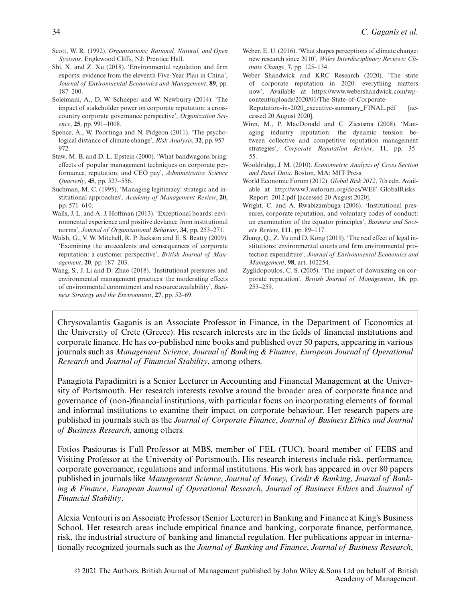- Scott, W. R. (1992). *Organizations: Rational, Natural, and Open Systems*. Englewood Cliffs, NJ: Prentice Hall.
- Shi, X. and Z. Xu (2018). 'Environmental regulation and firm exports: evidence from the eleventh Five-Year Plan in China', *Journal of Environmental Economics and Management*, **89**, pp. 187–200.
- Soleimani, A., D. W. Schneper and W. Newburry (2014). 'The impact of stakeholder power on corporate reputation: a crosscountry corporate governance perspective', *Organization Science*, **25**, pp. 991–1008.
- Spence, A., W. Poortinga and N. Pidgeon (2011). 'The psychological distance of climate change', *Risk Analysis*, **32**, pp. 957– 972.
- Staw, M. B. and D. L. Epstein (2000). 'What bandwagons bring: effects of popular management techniques on corporate performance, reputation, and CEO pay', *Administrative Science Quarterly*, **45**, pp. 523–556.
- Suchman, M. C. (1995). 'Managing legitimacy: strategic and institutional approaches', *Academy of Management Review*, **20**, pp. 571–610.
- Walls, J. L. and A. J. Hoffman (2013). 'Exceptional boards: environmental experience and positive deviance from institutional norms', *Journal of Organizational Behavior*, **34**, pp. 253–271.
- Walsh, G., V. W. Mitchell, R. P. Jackson and E. S. Beatty (2009). 'Examining the antecedents and consequences of corporate reputation: a customer perspective', *British Journal of Management*, **20**, pp. 187–203.
- Wang, S., J. Li and D. Zhao (2018). 'Institutional pressures and environmental management practices: the moderating effects of environmental commitment and resource availability', *Business Strategy and the Environment*, **27**, pp. 52–69.
- Weber, E. U. (2016). 'What shapes perceptions of climate change: new research since 2010', *Wiley Interdisciplinary Reviews: Climate Change*, **7**, pp. 125–134.
- Weber Shandwick and KRC Research (2020). 'The state of corporate reputation in 2020: everything matters now'. Available at [https://www.webershandwick.com/wp](https://www.webershandwick.com/wp-content/uploads/2020/01/The-State-of-Corporate-Reputation-in-2020_executive-summary_FINAL.pdf)[content/uploads/2020/01/The-State-of-Corporate-](https://www.webershandwick.com/wp-content/uploads/2020/01/The-State-of-Corporate-Reputation-in-2020_executive-summary_FINAL.pdf)[Reputation-in-2020\\_executive-summary\\_FINAL.pdf](https://www.webershandwick.com/wp-content/uploads/2020/01/The-State-of-Corporate-Reputation-in-2020_executive-summary_FINAL.pdf) [ac-

cessed 20 August 2020].

- Winn, M., P. MacDonald and C. Ziestsma (2008). 'Managing industry reputation: the dynamic tension between collective and competitive reputation management strategies', *Corporate Reputation Review*, **11**, pp. 35– 55.
- Wooldridge, J. M. (2010). *Econometric Analysis of Cross Section and Panel Data*. Boston, MA: MIT Press.
- World Economic Forum (2012). *Global Risk 2012*, 7th edn. Available at [http://www3.weforum.org/docs/WEF\\_GlobalRisks\\_](http://www3.weforum.org/docs/WEF_GlobalRisks_Report_2012.pdf) [Report\\_2012.pdf](http://www3.weforum.org/docs/WEF_GlobalRisks_Report_2012.pdf) [accessed 20 August 2020].
- Wright, C. and A. Rwabizambuga (2006). 'Institutional pressures, corporate reputation, and voluntary codes of conduct: an examination of the equator principles', *Business and Society Review*, **111**, pp. 89–117.
- Zhang, Q., Z. Yu and D. Kong (2019). 'The real effect of legal institutions: environmental courts and firm environmental protection expenditure', *Journal of Environmental Economics and Management*, **98**, art. 102254.
- Zyglidopoulos, C. S. (2005). 'The impact of downsizing on corporate reputation', *British Journal of Management*, **16**, pp. 253–259.

Chrysovalantis Gaganis is an Associate Professor in Finance, in the Department of Economics at the University of Crete (Greece). His research interests are in the fields of financial institutions and corporate finance. He has co-published nine books and published over 50 papers, appearing in various journals such as *Management Science*, *Journal of Banking & Finance*, *European Journal of Operational Research* and *Journal of Financial Stability*, among others.

Panagiota Papadimitri is a Senior Lecturer in Accounting and Financial Management at the University of Portsmouth. Her research interests revolve around the broader area of corporate finance and governance of (non-)financial institutions, with particular focus on incorporating elements of formal and informal institutions to examine their impact on corporate behaviour. Her research papers are published in journals such as the *Journal of Corporate Finance*, *Journal of Business Ethics and Journal of Business Research*, among others.

Fotios Pasiouras is Full Professor at MBS, member of FEL (TUC), board member of FEBS and Visiting Professor at the University of Portsmouth. His research interests include risk, performance, corporate governance, regulations and informal institutions. His work has appeared in over 80 papers published in journals like *Management Science*, *Journal of Money, Credit & Banking*, *Journal of Banking & Finance*, *European Journal of Operational Research*, *Journal of Business Ethics* and *Journal of Financial Stability*.

Alexia Ventouri is an Associate Professor (Senior Lecturer) in Banking and Finance at King's Business School. Her research areas include empirical finance and banking, corporate finance, performance, risk, the industrial structure of banking and financial regulation. Her publications appear in internationally recognized journals such as the *Journal of Banking and Finance*, *Journal of Business Research*,